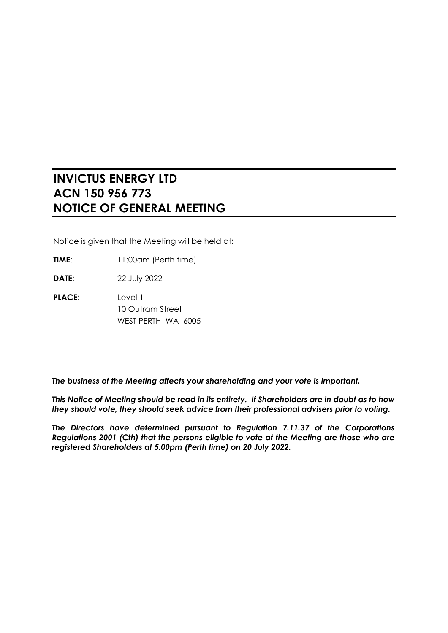# **INVICTUS ENERGY LTD ACN 150 956 773 NOTICE OF GENERAL MEETING**

Notice is given that the Meeting will be held at:

**TIME:** 11:00am (Perth time)

**DATE**: 22 July 2022

**PLACE**: Level 1 10 Outram Street WEST PERTH WA 6005

*The business of the Meeting affects your shareholding and your vote is important.*

*This Notice of Meeting should be read in its entirety. If Shareholders are in doubt as to how they should vote, they should seek advice from their professional advisers prior to voting.*

*The Directors have determined pursuant to Regulation 7.11.37 of the Corporations Regulations 2001 (Cth) that the persons eligible to vote at the Meeting are those who are registered Shareholders at 5.00pm (Perth time) on 20 July 2022.*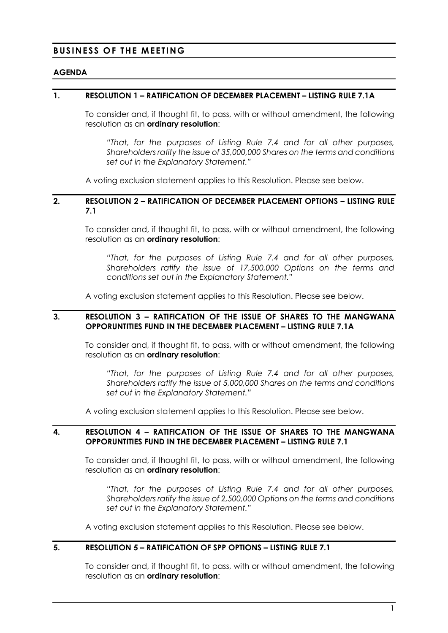## **BUSINESS OF THE MEETING**

#### **AGENDA**

## **1. RESOLUTION 1 – RATIFICATION OF DECEMBER PLACEMENT – LISTING RULE 7.1A**

To consider and, if thought fit, to pass, with or without amendment, the following resolution as an **ordinary resolution**:

*"That, for the purposes of Listing Rule 7.4 and for all other purposes, Shareholders ratify the issue of 35,000,000 Shares on the terms and conditions set out in the Explanatory Statement."*

A voting exclusion statement applies to this Resolution. Please see below.

#### **2. RESOLUTION 2 – RATIFICATION OF DECEMBER PLACEMENT OPTIONS – LISTING RULE 7.1**

To consider and, if thought fit, to pass, with or without amendment, the following resolution as an **ordinary resolution**:

*"That, for the purposes of Listing Rule 7.4 and for all other purposes, Shareholders ratify the issue of 17,500,000 Options on the terms and conditions set out in the Explanatory Statement."*

A voting exclusion statement applies to this Resolution. Please see below.

#### **3. RESOLUTION 3 – RATIFICATION OF THE ISSUE OF SHARES TO THE MANGWANA OPPORUNTITIES FUND IN THE DECEMBER PLACEMENT – LISTING RULE 7.1A**

To consider and, if thought fit, to pass, with or without amendment, the following resolution as an **ordinary resolution**:

*"That, for the purposes of Listing Rule 7.4 and for all other purposes, Shareholders ratify the issue of 5,000,000 Shares on the terms and conditions set out in the Explanatory Statement."*

A voting exclusion statement applies to this Resolution. Please see below.

#### **4. RESOLUTION 4 – RATIFICATION OF THE ISSUE OF SHARES TO THE MANGWANA OPPORUNTITIES FUND IN THE DECEMBER PLACEMENT – LISTING RULE 7.1**

To consider and, if thought fit, to pass, with or without amendment, the following resolution as an **ordinary resolution**:

*"That, for the purposes of Listing Rule 7.4 and for all other purposes, Shareholders ratify the issue of 2,500,000 Options on the terms and conditions set out in the Explanatory Statement."*

A voting exclusion statement applies to this Resolution. Please see below.

#### **5. RESOLUTION 5 – RATIFICATION OF SPP OPTIONS – LISTING RULE 7.1**

To consider and, if thought fit, to pass, with or without amendment, the following resolution as an **ordinary resolution**: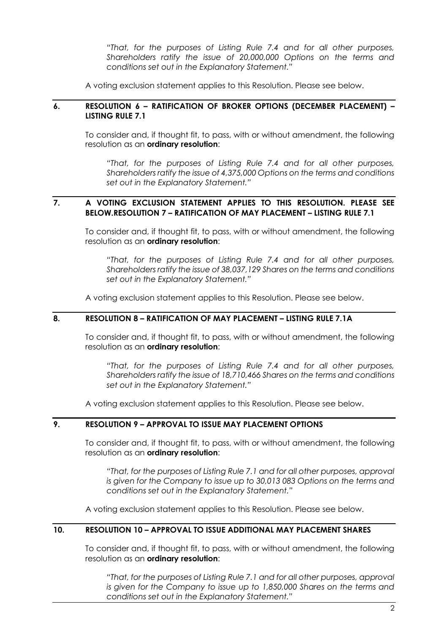*"That, for the purposes of Listing Rule 7.4 and for all other purposes, Shareholders ratify the issue of 20,000,000 Options on the terms and conditions set out in the Explanatory Statement."*

A voting exclusion statement applies to this Resolution. Please see below.

#### **6. RESOLUTION 6 – RATIFICATION OF BROKER OPTIONS (DECEMBER PLACEMENT) – LISTING RULE 7.1**

To consider and, if thought fit, to pass, with or without amendment, the following resolution as an **ordinary resolution**:

*"That, for the purposes of Listing Rule 7.4 and for all other purposes, Shareholders ratify the issue of 4,375,000 Options on the terms and conditions set out in the Explanatory Statement."*

## **7. A VOTING EXCLUSION STATEMENT APPLIES TO THIS RESOLUTION. PLEASE SEE BELOW.RESOLUTION 7 – RATIFICATION OF MAY PLACEMENT – LISTING RULE 7.1**

To consider and, if thought fit, to pass, with or without amendment, the following resolution as an **ordinary resolution**:

*"That, for the purposes of Listing Rule 7.4 and for all other purposes, Shareholders ratify the issue of 38,037,129 Shares on the terms and conditions set out in the Explanatory Statement."*

A voting exclusion statement applies to this Resolution. Please see below.

## **8. RESOLUTION 8 – RATIFICATION OF MAY PLACEMENT – LISTING RULE 7.1A**

To consider and, if thought fit, to pass, with or without amendment, the following resolution as an **ordinary resolution**:

*"That, for the purposes of Listing Rule 7.4 and for all other purposes, Shareholders ratify the issue of 18,710,466 Shares on the terms and conditions set out in the Explanatory Statement."*

A voting exclusion statement applies to this Resolution. Please see below.

## **9. RESOLUTION 9 – APPROVAL TO ISSUE MAY PLACEMENT OPTIONS**

To consider and, if thought fit, to pass, with or without amendment, the following resolution as an **ordinary resolution**:

*"That, for the purposes of Listing Rule 7.1 and for all other purposes, approval is given for the Company to issue up to 30,013 083 Options on the terms and conditions set out in the Explanatory Statement."*

A voting exclusion statement applies to this Resolution. Please see below.

#### **10. RESOLUTION 10 – APPROVAL TO ISSUE ADDITIONAL MAY PLACEMENT SHARES**

To consider and, if thought fit, to pass, with or without amendment, the following resolution as an **ordinary resolution**:

*"That, for the purposes of Listing Rule 7.1 and for all other purposes, approval is given for the Company to issue up to 1,850,000 Shares on the terms and conditions set out in the Explanatory Statement."*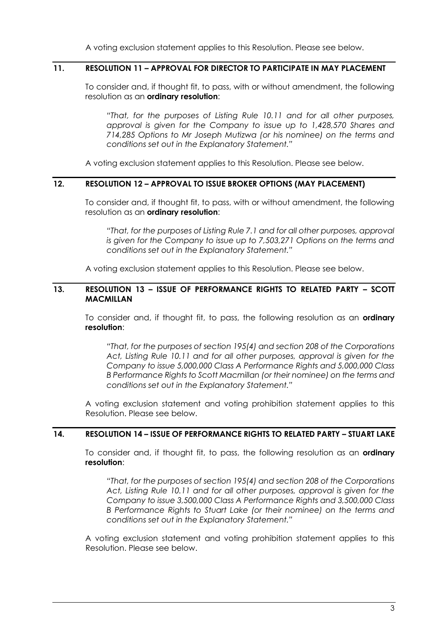A voting exclusion statement applies to this Resolution. Please see below.

#### **11. RESOLUTION 11 – APPROVAL FOR DIRECTOR TO PARTICIPATE IN MAY PLACEMENT**

To consider and, if thought fit, to pass, with or without amendment, the following resolution as an **ordinary resolution**:

*"That, for the purposes of Listing Rule 10.11 and for all other purposes, approval is given for the Company to issue up to 1,428,570 Shares and 714,285 Options to Mr Joseph Mutizwa (or his nominee) on the terms and conditions set out in the Explanatory Statement."*

A voting exclusion statement applies to this Resolution. Please see below.

#### **12. RESOLUTION 12 – APPROVAL TO ISSUE BROKER OPTIONS (MAY PLACEMENT)**

To consider and, if thought fit, to pass, with or without amendment, the following resolution as an **ordinary resolution**:

*"That, for the purposes of Listing Rule 7.1 and for all other purposes, approval is given for the Company to issue up to 7,503,271 Options on the terms and conditions set out in the Explanatory Statement."*

A voting exclusion statement applies to this Resolution. Please see below.

## **13. RESOLUTION 13 – ISSUE OF PERFORMANCE RIGHTS TO RELATED PARTY – SCOTT MACMILLAN**

To consider and, if thought fit, to pass, the following resolution as an **ordinary resolution**:

*"That, for the purposes of section 195(4) and section 208 of the Corporations Act, Listing Rule 10.11 and for all other purposes, approval is given for the Company to issue 5,000,000 Class A Performance Rights and 5,000,000 Class B Performance Rights to Scott Macmillan (or their nominee) on the terms and conditions set out in the Explanatory Statement."*

A voting exclusion statement and voting prohibition statement applies to this Resolution. Please see below.

## **14. RESOLUTION 14 – ISSUE OF PERFORMANCE RIGHTS TO RELATED PARTY – STUART LAKE**

To consider and, if thought fit, to pass, the following resolution as an **ordinary resolution**:

*"That, for the purposes of section 195(4) and section 208 of the Corporations Act, Listing Rule 10.11 and for all other purposes, approval is given for the Company to issue 3,500,000 Class A Performance Rights and 3,500,000 Class B Performance Rights to Stuart Lake (or their nominee) on the terms and conditions set out in the Explanatory Statement."*

A voting exclusion statement and voting prohibition statement applies to this Resolution. Please see below.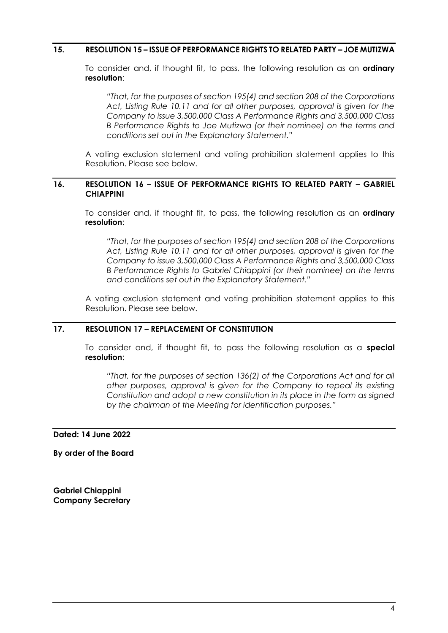#### **15. RESOLUTION 15 – ISSUE OF PERFORMANCE RIGHTS TO RELATED PARTY – JOE MUTIZWA**

To consider and, if thought fit, to pass, the following resolution as an **ordinary resolution**:

*"That, for the purposes of section 195(4) and section 208 of the Corporations Act, Listing Rule 10.11 and for all other purposes, approval is given for the Company to issue 3,500,000 Class A Performance Rights and 3,500,000 Class B Performance Rights to Joe Mutizwa (or their nominee) on the terms and conditions set out in the Explanatory Statement."*

A voting exclusion statement and voting prohibition statement applies to this Resolution. Please see below.

#### **16. RESOLUTION 16 – ISSUE OF PERFORMANCE RIGHTS TO RELATED PARTY – GABRIEL CHIAPPINI**

To consider and, if thought fit, to pass, the following resolution as an **ordinary resolution**:

*"That, for the purposes of section 195(4) and section 208 of the Corporations Act, Listing Rule 10.11 and for all other purposes, approval is given for the Company to issue 3,500,000 Class A Performance Rights and 3,500,000 Class B Performance Rights to Gabriel Chiappini (or their nominee) on the terms and conditions set out in the Explanatory Statement."*

A voting exclusion statement and voting prohibition statement applies to this Resolution. Please see below.

## **17. RESOLUTION 17 – REPLACEMENT OF CONSTITUTION**

To consider and, if thought fit, to pass the following resolution as a **special resolution**:

*"That, for the purposes of section 136(2) of the Corporations Act and for all other purposes, approval is given for the Company to repeal its existing Constitution and adopt a new constitution in its place in the form as signed by the chairman of the Meeting for identification purposes."*

#### **Dated: 14 June 2022**

**By order of the Board**

**Gabriel Chiappini Company Secretary**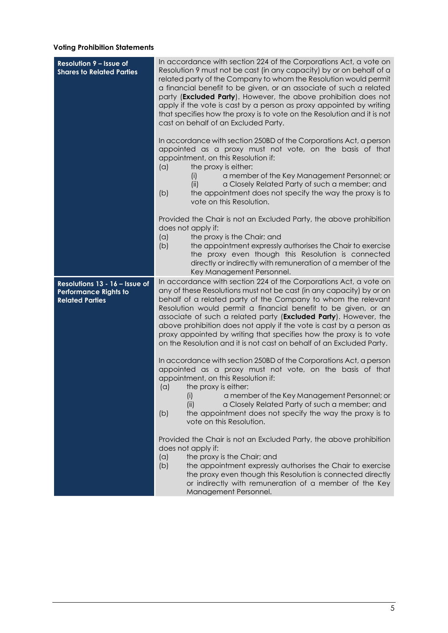# **Voting Prohibition Statements**

| <b>Resolution 9 - Issue of</b><br><b>Shares to Related Parties</b>                       | In accordance with section 224 of the Corporations Act, a vote on<br>Resolution 9 must not be cast (in any capacity) by or on behalf of a<br>related party of the Company to whom the Resolution would permit<br>a financial benefit to be given, or an associate of such a related<br>party ( <b>Excluded Party</b> ). However, the above prohibition does not<br>apply if the vote is cast by a person as proxy appointed by writing<br>that specifies how the proxy is to vote on the Resolution and it is not<br>cast on behalf of an Excluded Party.                      |
|------------------------------------------------------------------------------------------|--------------------------------------------------------------------------------------------------------------------------------------------------------------------------------------------------------------------------------------------------------------------------------------------------------------------------------------------------------------------------------------------------------------------------------------------------------------------------------------------------------------------------------------------------------------------------------|
|                                                                                          | In accordance with section 250BD of the Corporations Act, a person<br>appointed as a proxy must not vote, on the basis of that<br>appointment, on this Resolution if:<br>the proxy is either:<br>(a)<br>a member of the Key Management Personnel; or<br>(i)<br>a Closely Related Party of such a member; and<br>(ii)<br>the appointment does not specify the way the proxy is to<br>(b)<br>vote on this Resolution.                                                                                                                                                            |
|                                                                                          | Provided the Chair is not an Excluded Party, the above prohibition<br>does not apply if:<br>(a)<br>the proxy is the Chair; and<br>(b)<br>the appointment expressly authorises the Chair to exercise<br>the proxy even though this Resolution is connected<br>directly or indirectly with remuneration of a member of the<br>Key Management Personnel.                                                                                                                                                                                                                          |
| Resolutions 13 - 16 - Issue of<br><b>Performance Rights to</b><br><b>Related Parties</b> | In accordance with section 224 of the Corporations Act, a vote on<br>any of these Resolutions must not be cast (in any capacity) by or on<br>behalf of a related party of the Company to whom the relevant<br>Resolution would permit a financial benefit to be given, or an<br>associate of such a related party ( <b>Excluded Party</b> ). However, the<br>above prohibition does not apply if the vote is cast by a person as<br>proxy appointed by writing that specifies how the proxy is to vote<br>on the Resolution and it is not cast on behalf of an Excluded Party. |
|                                                                                          | In accordance with section 250BD of the Corporations Act, a person<br>appointed as a proxy must not vote, on the basis of that<br>appointment, on this Resolution if:<br>(a)<br>the proxy is either:<br>a member of the Key Management Personnel; or<br>(i)<br>a Closely Related Party of such a member; and<br>(ii)<br>the appointment does not specify the way the proxy is to<br>(b)<br>vote on this Resolution.                                                                                                                                                            |
|                                                                                          | Provided the Chair is not an Excluded Party, the above prohibition<br>does not apply if:<br>(a)<br>the proxy is the Chair; and<br>(b)<br>the appointment expressly authorises the Chair to exercise<br>the proxy even though this Resolution is connected directly<br>or indirectly with remuneration of a member of the Key<br>Management Personnel.                                                                                                                                                                                                                          |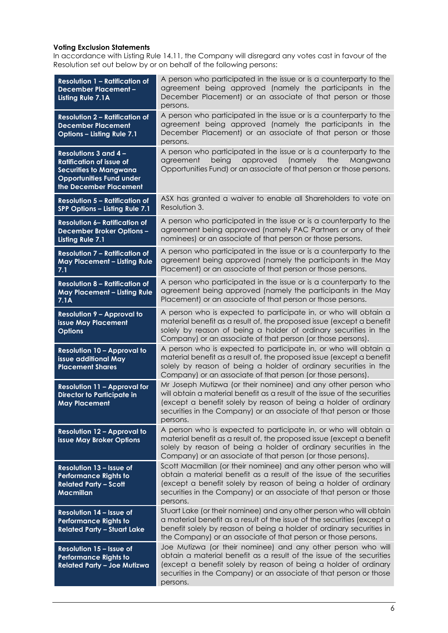#### **Voting Exclusion Statements**

In accordance with Listing Rule 14.11, the Company will disregard any votes cast in favour of the Resolution set out below by or on behalf of the following persons:

| <b>Resolution 1 - Ratification of</b><br><b>December Placement -</b><br>Listing Rule 7.1A                                                                     | A person who participated in the issue or is a counterparty to the<br>agreement being approved (namely the participants in the<br>December Placement) or an associate of that person or those<br>persons.                                                                                        |
|---------------------------------------------------------------------------------------------------------------------------------------------------------------|--------------------------------------------------------------------------------------------------------------------------------------------------------------------------------------------------------------------------------------------------------------------------------------------------|
| <b>Resolution 2 - Ratification of</b><br><b>December Placement</b><br>Options - Listing Rule 7.1                                                              | A person who participated in the issue or is a counterparty to the<br>agreement being approved (namely the participants in the<br>December Placement) or an associate of that person or those<br>persons.                                                                                        |
| <b>Resolutions 3 and 4 -</b><br><b>Ratification of issue of</b><br><b>Securities to Mangwana</b><br><b>Opportunities Fund under</b><br>the December Placement | A person who participated in the issue or is a counterparty to the<br>(namely<br>being<br>approved<br>the<br>Mangwana<br>agreement<br>Opportunities Fund) or an associate of that person or those persons.                                                                                       |
| <b>Resolution 5 - Ratification of</b><br>SPP Options - Listing Rule 7.1                                                                                       | ASX has granted a waiver to enable all Shareholders to vote on<br>Resolution 3.                                                                                                                                                                                                                  |
| <b>Resolution 6- Ratification of</b><br><b>December Broker Options -</b><br><b>Listing Rule 7.1</b>                                                           | A person who participated in the issue or is a counterparty to the<br>agreement being approved (namely PAC Partners or any of their<br>nominees) or an associate of that person or those persons.                                                                                                |
| <b>Resolution 7 - Ratification of</b><br>May Placement - Listing Rule<br>7.1                                                                                  | A person who participated in the issue or is a counterparty to the<br>agreement being approved (namely the participants in the May<br>Placement) or an associate of that person or those persons.                                                                                                |
| <b>Resolution 8 - Ratification of</b><br><b>May Placement - Listing Rule</b><br>7.1A                                                                          | A person who participated in the issue or is a counterparty to the<br>agreement being approved (namely the participants in the May<br>Placement) or an associate of that person or those persons.                                                                                                |
| <b>Resolution 9 - Approval to</b><br><b>issue May Placement</b><br><b>Options</b>                                                                             | A person who is expected to participate in, or who will obtain a<br>material benefit as a result of, the proposed issue (except a benefit<br>solely by reason of being a holder of ordinary securities in the<br>Company) or an associate of that person (or those persons).                     |
| <b>Resolution 10 - Approval to</b><br>issue additional May<br><b>Placement Shares</b>                                                                         | A person who is expected to participate in, or who will obtain a<br>material benefit as a result of, the proposed issue (except a benefit<br>solely by reason of being a holder of ordinary securities in the<br>Company) or an associate of that person (or those persons).                     |
| <b>Resolution 11 - Approval for</b><br><b>Director to Participate in</b><br><b>May Placement</b>                                                              | Mr Joseph Mutizwa (or their nominee) and any other person who<br>will obtain a material benefit as a result of the issue of the securities<br>(except a benefit solely by reason of being a holder of ordinary<br>securities in the Company) or an associate of that person or those<br>persons. |
| <b>Resolution 12 - Approval to</b><br>issue May Broker Options                                                                                                | A person who is expected to participate in, or who will obtain a<br>material benefit as a result of, the proposed issue (except a benefit<br>solely by reason of being a holder of ordinary securities in the<br>Company) or an associate of that person (or those persons).                     |
| Resolution 13 - Issue of<br><b>Performance Rights to</b><br><b>Related Party - Scott</b><br><b>Macmillan</b>                                                  | Scott Macmillan (or their nominee) and any other person who will<br>obtain a material benefit as a result of the issue of the securities<br>(except a benefit solely by reason of being a holder of ordinary<br>securities in the Company) or an associate of that person or those<br>persons.   |
| Resolution 14 - Issue of<br><b>Performance Rights to</b><br><b>Related Party - Stuart Lake</b>                                                                | Stuart Lake (or their nominee) and any other person who will obtain<br>a material benefit as a result of the issue of the securities (except a<br>benefit solely by reason of being a holder of ordinary securities in<br>the Company) or an associate of that person or those persons.          |
| Resolution 15 - Issue of<br>Performance Rights to<br><b>Related Party - Joe Mutizwa</b>                                                                       | Joe Mutizwa (or their nominee) and any other person who will<br>obtain a material benefit as a result of the issue of the securities<br>(except a benefit solely by reason of being a holder of ordinary<br>securities in the Company) or an associate of that person or those<br>persons.       |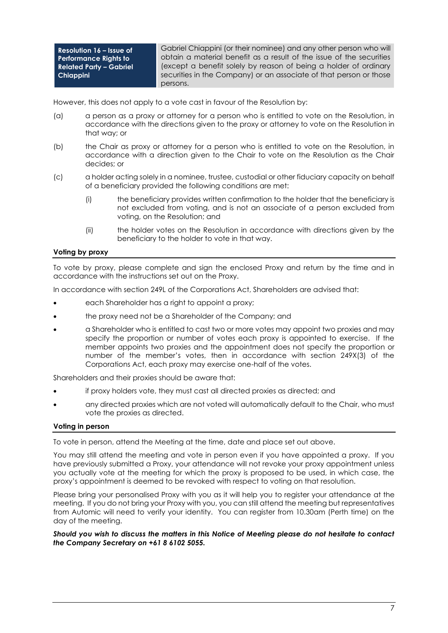**Resolution 16 – Issue of Performance Rights to Related Party – Gabriel Chiappini**

Gabriel Chiappini (or their nominee) and any other person who will obtain a material benefit as a result of the issue of the securities (except a benefit solely by reason of being a holder of ordinary securities in the Company) or an associate of that person or those persons.

However, this does not apply to a vote cast in favour of the Resolution by:

- (a) a person as a proxy or attorney for a person who is entitled to vote on the Resolution, in accordance with the directions given to the proxy or attorney to vote on the Resolution in that way; or
- (b) the Chair as proxy or attorney for a person who is entitled to vote on the Resolution, in accordance with a direction given to the Chair to vote on the Resolution as the Chair decides; or
- (c) a holder acting solely in a nominee, trustee, custodial or other fiduciary capacity on behalf of a beneficiary provided the following conditions are met:
	- (i) the beneficiary provides written confirmation to the holder that the beneficiary is not excluded from voting, and is not an associate of a person excluded from voting, on the Resolution; and
	- (ii) the holder votes on the Resolution in accordance with directions given by the beneficiary to the holder to vote in that way.

#### **Voting by proxy**

To vote by proxy, please complete and sign the enclosed Proxy and return by the time and in accordance with the instructions set out on the Proxy.

In accordance with section 249L of the Corporations Act, Shareholders are advised that:

- each Shareholder has a right to appoint a proxy;
- the proxy need not be a Shareholder of the Company; and
- a Shareholder who is entitled to cast two or more votes may appoint two proxies and may specify the proportion or number of votes each proxy is appointed to exercise. If the member appoints two proxies and the appointment does not specify the proportion or number of the member's votes, then in accordance with section 249X(3) of the Corporations Act, each proxy may exercise one-half of the votes.

Shareholders and their proxies should be aware that:

- if proxy holders vote, they must cast all directed proxies as directed; and
- any directed proxies which are not voted will automatically default to the Chair, who must vote the proxies as directed.

#### **Voting in person**

To vote in person, attend the Meeting at the time, date and place set out above.

You may still attend the meeting and vote in person even if you have appointed a proxy. If you have previously submitted a Proxy, your attendance will not revoke your proxy appointment unless you actually vote at the meeting for which the proxy is proposed to be used, in which case, the proxy's appointment is deemed to be revoked with respect to voting on that resolution.

Please bring your personalised Proxy with you as it will help you to register your attendance at the meeting. If you do not bring your Proxy with you, you can still attend the meeting but representatives from Automic will need to verify your identity. You can register from 10.30am (Perth time) on the day of the meeting.

#### *Should you wish to discuss the matters in this Notice of Meeting please do not hesitate to contact the Company Secretary on +61 8 6102 5055.*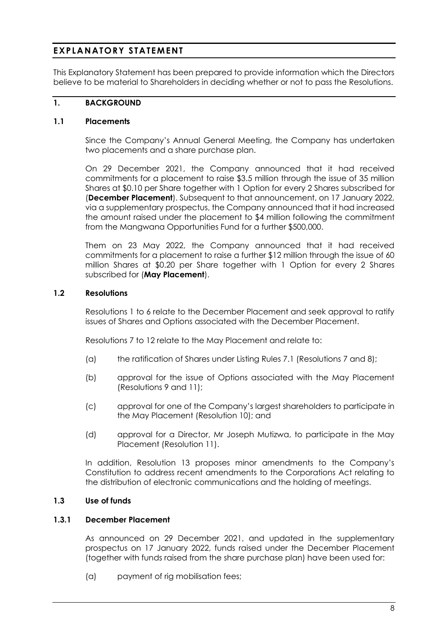# **EXPLANATORY STATEMENT**

This Explanatory Statement has been prepared to provide information which the Directors believe to be material to Shareholders in deciding whether or not to pass the Resolutions.

## **1. BACKGROUND**

## **1.1 Placements**

Since the Company's Annual General Meeting, the Company has undertaken two placements and a share purchase plan.

On 29 December 2021, the Company announced that it had received commitments for a placement to raise \$3.5 million through the issue of 35 million Shares at \$0.10 per Share together with 1 Option for every 2 Shares subscribed for (**December Placement**). Subsequent to that announcement, on 17 January 2022, via a supplementary prospectus, the Company announced that it had increased the amount raised under the placement to \$4 million following the commitment from the Mangwana Opportunities Fund for a further \$500,000.

Them on 23 May 2022, the Company announced that it had received commitments for a placement to raise a further \$12 million through the issue of 60 million Shares at \$0.20 per Share together with 1 Option for every 2 Shares subscribed for (**May Placement**).

## **1.2 Resolutions**

Resolutions 1 to 6 relate to the December Placement and seek approval to ratify issues of Shares and Options associated with the December Placement.

Resolutions 7 to 12 relate to the May Placement and relate to:

- (a) the ratification of Shares under Listing Rules 7.1 (Resolutions 7 and 8);
- (b) approval for the issue of Options associated with the May Placement (Resolutions 9 and 11);
- (c) approval for one of the Company's largest shareholders to participate in the May Placement (Resolution 10); and
- (d) approval for a Director, Mr Joseph Mutizwa, to participate in the May Placement (Resolution 11).

In addition, Resolution 13 proposes minor amendments to the Company's Constitution to address recent amendments to the Corporations Act relating to the distribution of electronic communications and the holding of meetings.

## **1.3 Use of funds**

#### **1.3.1 December Placement**

As announced on 29 December 2021, and updated in the supplementary prospectus on 17 January 2022, funds raised under the December Placement (together with funds raised from the share purchase plan) have been used for:

(a) payment of rig mobilisation fees;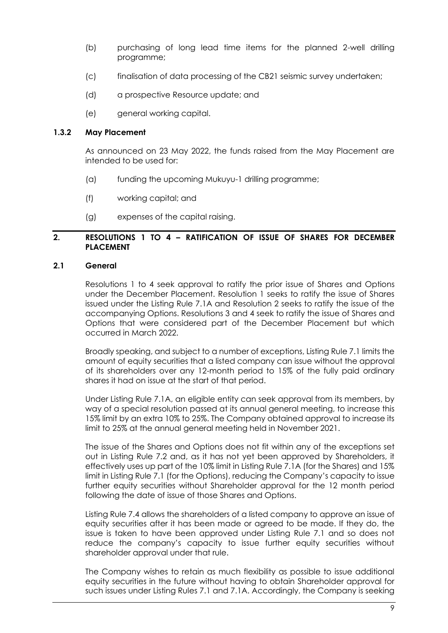- (b) purchasing of long lead time items for the planned 2-well drilling programme;
- (c) finalisation of data processing of the CB21 seismic survey undertaken;
- (d) a prospective Resource update; and
- (e) general working capital.

## **1.3.2 May Placement**

As announced on 23 May 2022, the funds raised from the May Placement are intended to be used for:

- (a) funding the upcoming Mukuyu-1 drilling programme;
- (f) working capital; and
- (g) expenses of the capital raising.

## **2. RESOLUTIONS 1 TO 4 – RATIFICATION OF ISSUE OF SHARES FOR DECEMBER PLACEMENT**

## **2.1 General**

Resolutions 1 to 4 seek approval to ratify the prior issue of Shares and Options under the December Placement. Resolution 1 seeks to ratify the issue of Shares issued under the Listing Rule 7.1A and Resolution 2 seeks to ratify the issue of the accompanying Options. Resolutions 3 and 4 seek to ratify the issue of Shares and Options that were considered part of the December Placement but which occurred in March 2022.

Broadly speaking, and subject to a number of exceptions, Listing Rule 7.1 limits the amount of equity securities that a listed company can issue without the approval of its shareholders over any 12-month period to 15% of the fully paid ordinary shares it had on issue at the start of that period.

Under Listing Rule 7.1A, an eligible entity can seek approval from its members, by way of a special resolution passed at its annual general meeting, to increase this 15% limit by an extra 10% to 25%. The Company obtained approval to increase its limit to 25% at the annual general meeting held in November 2021.

The issue of the Shares and Options does not fit within any of the exceptions set out in Listing Rule 7.2 and, as it has not yet been approved by Shareholders, it effectively uses up part of the 10% limit in Listing Rule 7.1A (for the Shares) and 15% limit in Listing Rule 7.1 (for the Options), reducing the Company's capacity to issue further equity securities without Shareholder approval for the 12 month period following the date of issue of those Shares and Options.

Listing Rule 7.4 allows the shareholders of a listed company to approve an issue of equity securities after it has been made or agreed to be made. If they do, the issue is taken to have been approved under Listing Rule 7.1 and so does not reduce the company's capacity to issue further equity securities without shareholder approval under that rule.

The Company wishes to retain as much flexibility as possible to issue additional equity securities in the future without having to obtain Shareholder approval for such issues under Listing Rules 7.1 and 7.1A. Accordingly, the Company is seeking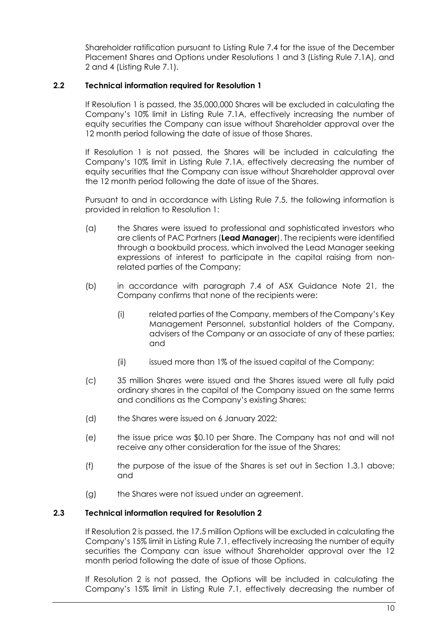Shareholder ratification pursuant to Listing Rule 7.4 for the issue of the December Placement Shares and Options under Resolutions 1 and 3 (Listing Rule 7.1A), and 2 and 4 (Listing Rule 7.1).

## **2.2 Technical information required for Resolution 1**

If Resolution 1 is passed, the 35,000,000 Shares will be excluded in calculating the Company's 10% limit in Listing Rule 7.1A, effectively increasing the number of equity securities the Company can issue without Shareholder approval over the 12 month period following the date of issue of those Shares.

If Resolution 1 is not passed, the Shares will be included in calculating the Company's 10% limit in Listing Rule 7.1A, effectively decreasing the number of equity securities that the Company can issue without Shareholder approval over the 12 month period following the date of issue of the Shares.

Pursuant to and in accordance with Listing Rule 7.5, the following information is provided in relation to Resolution 1:

- (a) the Shares were issued to professional and sophisticated investors who are clients of PAC Partners (**Lead Manager**). The recipients were identified through a bookbuild process, which involved the Lead Manager seeking expressions of interest to participate in the capital raising from nonrelated parties of the Company;
- (b) in accordance with paragraph 7.4 of ASX Guidance Note 21, the Company confirms that none of the recipients were:
	- (i) related parties of the Company, members of the Company's Key Management Personnel, substantial holders of the Company, advisers of the Company or an associate of any of these parties; and
	- (ii) issued more than 1% of the issued capital of the Company;
- (c) 35 million Shares were issued and the Shares issued were all fully paid ordinary shares in the capital of the Company issued on the same terms and conditions as the Company's existing Shares;
- (d) the Shares were issued on 6 January 2022;
- (e) the issue price was \$0.10 per Share. The Company has not and will not receive any other consideration for the issue of the Shares;
- (f) the purpose of the issue of the Shares is set out in Section 1.3.1 above; and
- (g) the Shares were not issued under an agreement.

## **2.3 Technical information required for Resolution 2**

If Resolution 2 is passed, the 17.5 million Options will be excluded in calculating the Company's 15% limit in Listing Rule 7.1, effectively increasing the number of equity securities the Company can issue without Shareholder approval over the 12 month period following the date of issue of those Options.

If Resolution 2 is not passed, the Options will be included in calculating the Company's 15% limit in Listing Rule 7.1, effectively decreasing the number of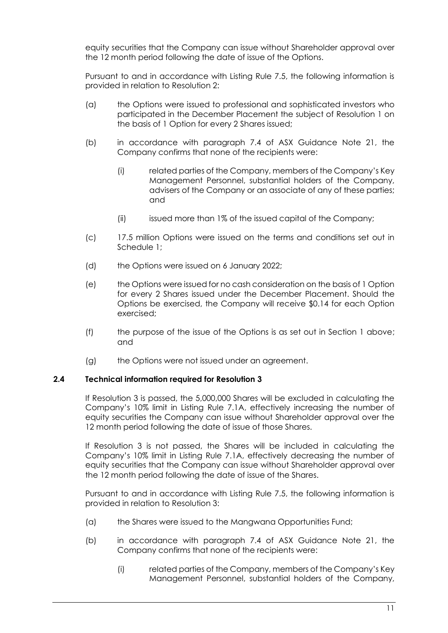equity securities that the Company can issue without Shareholder approval over the 12 month period following the date of issue of the Options.

Pursuant to and in accordance with Listing Rule 7.5, the following information is provided in relation to Resolution 2:

- (a) the Options were issued to professional and sophisticated investors who participated in the December Placement the subject of Resolution 1 on the basis of 1 Option for every 2 Shares issued;
- (b) in accordance with paragraph 7.4 of ASX Guidance Note 21, the Company confirms that none of the recipients were:
	- (i) related parties of the Company, members of the Company's Key Management Personnel, substantial holders of the Company, advisers of the Company or an associate of any of these parties; and
	- (ii) issued more than 1% of the issued capital of the Company;
- (c) 17.5 million Options were issued on the terms and conditions set out in Schedule 1;
- (d) the Options were issued on 6 January 2022;
- (e) the Options were issued for no cash consideration on the basis of 1 Option for every 2 Shares issued under the December Placement. Should the Options be exercised, the Company will receive \$0.14 for each Option exercised;
- (f) the purpose of the issue of the Options is as set out in Section 1 above; and
- (g) the Options were not issued under an agreement.

## **2.4 Technical information required for Resolution 3**

If Resolution 3 is passed, the 5,000,000 Shares will be excluded in calculating the Company's 10% limit in Listing Rule 7.1A, effectively increasing the number of equity securities the Company can issue without Shareholder approval over the 12 month period following the date of issue of those Shares.

If Resolution 3 is not passed, the Shares will be included in calculating the Company's 10% limit in Listing Rule 7.1A, effectively decreasing the number of equity securities that the Company can issue without Shareholder approval over the 12 month period following the date of issue of the Shares.

Pursuant to and in accordance with Listing Rule 7.5, the following information is provided in relation to Resolution 3:

- (a) the Shares were issued to the Mangwana Opportunities Fund;
- (b) in accordance with paragraph 7.4 of ASX Guidance Note 21, the Company confirms that none of the recipients were:
	- (i) related parties of the Company, members of the Company's Key Management Personnel, substantial holders of the Company,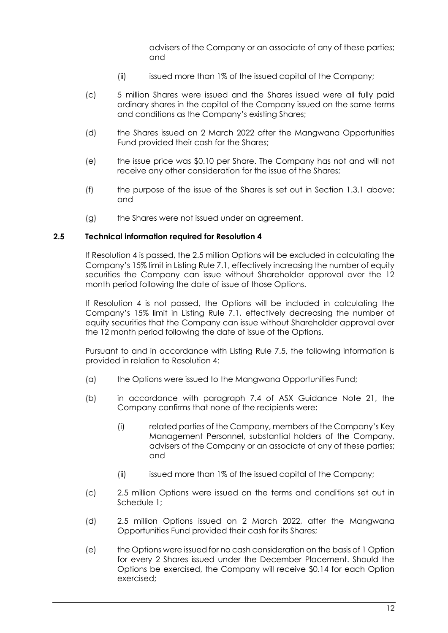advisers of the Company or an associate of any of these parties; and

- (ii) issued more than 1% of the issued capital of the Company;
- (c) 5 million Shares were issued and the Shares issued were all fully paid ordinary shares in the capital of the Company issued on the same terms and conditions as the Company's existing Shares;
- (d) the Shares issued on 2 March 2022 after the Mangwana Opportunities Fund provided their cash for the Shares;
- (e) the issue price was \$0.10 per Share. The Company has not and will not receive any other consideration for the issue of the Shares;
- (f) the purpose of the issue of the Shares is set out in Section 1.3.1 above; and
- (g) the Shares were not issued under an agreement.

#### **2.5 Technical information required for Resolution 4**

If Resolution 4 is passed, the 2.5 million Options will be excluded in calculating the Company's 15% limit in Listing Rule 7.1, effectively increasing the number of equity securities the Company can issue without Shareholder approval over the 12 month period following the date of issue of those Options.

If Resolution 4 is not passed, the Options will be included in calculating the Company's 15% limit in Listing Rule 7.1, effectively decreasing the number of equity securities that the Company can issue without Shareholder approval over the 12 month period following the date of issue of the Options.

Pursuant to and in accordance with Listing Rule 7.5, the following information is provided in relation to Resolution 4:

- (a) the Options were issued to the Mangwana Opportunities Fund;
- (b) in accordance with paragraph 7.4 of ASX Guidance Note 21, the Company confirms that none of the recipients were:
	- (i) related parties of the Company, members of the Company's Key Management Personnel, substantial holders of the Company, advisers of the Company or an associate of any of these parties; and
	- (ii) issued more than 1% of the issued capital of the Company;
- (c) 2.5 million Options were issued on the terms and conditions set out in Schedule 1;
- (d) 2.5 million Options issued on 2 March 2022, after the Mangwana Opportunities Fund provided their cash for its Shares;
- (e) the Options were issued for no cash consideration on the basis of 1 Option for every 2 Shares issued under the December Placement. Should the Options be exercised, the Company will receive \$0.14 for each Option exercised;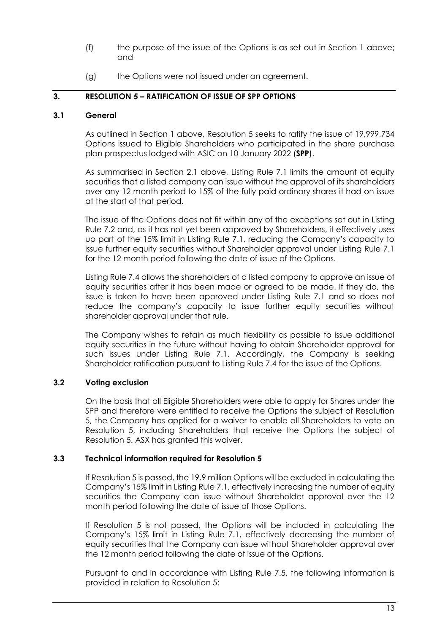- (f) the purpose of the issue of the Options is as set out in Section 1 above; and
- (g) the Options were not issued under an agreement.

## **3. RESOLUTION 5 – RATIFICATION OF ISSUE OF SPP OPTIONS**

#### **3.1 General**

As outlined in Section 1 above, Resolution 5 seeks to ratify the issue of 19,999,734 Options issued to Eligible Shareholders who participated in the share purchase plan prospectus lodged with ASIC on 10 January 2022 (**SPP**).

As summarised in Section 2.1 above, Listing Rule 7.1 limits the amount of equity securities that a listed company can issue without the approval of its shareholders over any 12 month period to 15% of the fully paid ordinary shares it had on issue at the start of that period.

The issue of the Options does not fit within any of the exceptions set out in Listing Rule 7.2 and, as it has not yet been approved by Shareholders, it effectively uses up part of the 15% limit in Listing Rule 7.1, reducing the Company's capacity to issue further equity securities without Shareholder approval under Listing Rule 7.1 for the 12 month period following the date of issue of the Options.

Listing Rule 7.4 allows the shareholders of a listed company to approve an issue of equity securities after it has been made or agreed to be made. If they do, the issue is taken to have been approved under Listing Rule 7.1 and so does not reduce the company's capacity to issue further equity securities without shareholder approval under that rule.

The Company wishes to retain as much flexibility as possible to issue additional equity securities in the future without having to obtain Shareholder approval for such issues under Listing Rule 7.1. Accordingly, the Company is seeking Shareholder ratification pursuant to Listing Rule 7.4 for the issue of the Options.

## **3.2 Voting exclusion**

On the basis that all Eligible Shareholders were able to apply for Shares under the SPP and therefore were entitled to receive the Options the subject of Resolution 5, the Company has applied for a waiver to enable all Shareholders to vote on Resolution 5, including Shareholders that receive the Options the subject of Resolution 5. ASX has granted this waiver.

## **3.3 Technical information required for Resolution 5**

If Resolution 5 is passed, the 19.9 million Options will be excluded in calculating the Company's 15% limit in Listing Rule 7.1, effectively increasing the number of equity securities the Company can issue without Shareholder approval over the 12 month period following the date of issue of those Options.

If Resolution 5 is not passed, the Options will be included in calculating the Company's 15% limit in Listing Rule 7.1, effectively decreasing the number of equity securities that the Company can issue without Shareholder approval over the 12 month period following the date of issue of the Options.

Pursuant to and in accordance with Listing Rule 7.5, the following information is provided in relation to Resolution 5: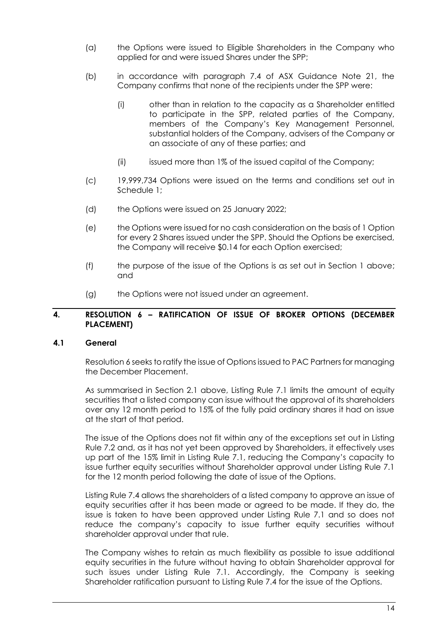- (a) the Options were issued to Eligible Shareholders in the Company who applied for and were issued Shares under the SPP;
- (b) in accordance with paragraph 7.4 of ASX Guidance Note 21, the Company confirms that none of the recipients under the SPP were:
	- (i) other than in relation to the capacity as a Shareholder entitled to participate in the SPP, related parties of the Company, members of the Company's Key Management Personnel, substantial holders of the Company, advisers of the Company or an associate of any of these parties; and
	- (ii) issued more than 1% of the issued capital of the Company;
- (c) 19,999,734 Options were issued on the terms and conditions set out in Schedule 1;
- (d) the Options were issued on 25 January 2022;
- (e) the Options were issued for no cash consideration on the basis of 1 Option for every 2 Shares issued under the SPP. Should the Options be exercised, the Company will receive \$0.14 for each Option exercised;
- (f) the purpose of the issue of the Options is as set out in Section 1 above; and
- (g) the Options were not issued under an agreement.

#### **4. RESOLUTION 6 – RATIFICATION OF ISSUE OF BROKER OPTIONS (DECEMBER PLACEMENT)**

## **4.1 General**

Resolution 6 seeks to ratify the issue of Options issued to PAC Partners for managing the December Placement.

As summarised in Section 2.1 above, Listing Rule 7.1 limits the amount of equity securities that a listed company can issue without the approval of its shareholders over any 12 month period to 15% of the fully paid ordinary shares it had on issue at the start of that period.

The issue of the Options does not fit within any of the exceptions set out in Listing Rule 7.2 and, as it has not yet been approved by Shareholders, it effectively uses up part of the 15% limit in Listing Rule 7.1, reducing the Company's capacity to issue further equity securities without Shareholder approval under Listing Rule 7.1 for the 12 month period following the date of issue of the Options.

Listing Rule 7.4 allows the shareholders of a listed company to approve an issue of equity securities after it has been made or agreed to be made. If they do, the issue is taken to have been approved under Listing Rule 7.1 and so does not reduce the company's capacity to issue further equity securities without shareholder approval under that rule.

The Company wishes to retain as much flexibility as possible to issue additional equity securities in the future without having to obtain Shareholder approval for such issues under Listing Rule 7.1. Accordingly, the Company is seeking Shareholder ratification pursuant to Listing Rule 7.4 for the issue of the Options.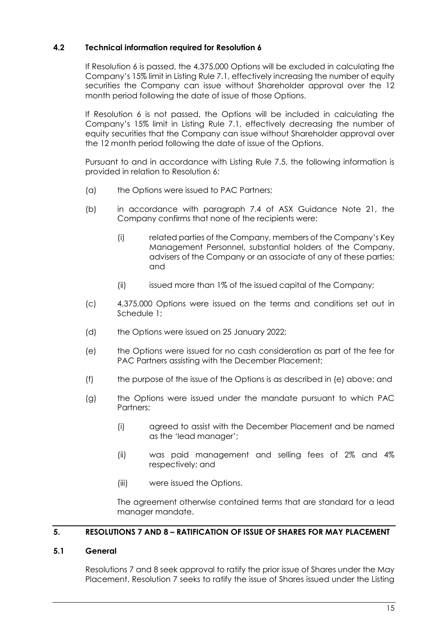## **4.2 Technical information required for Resolution 6**

If Resolution 6 is passed, the 4,375,000 Options will be excluded in calculating the Company's 15% limit in Listing Rule 7.1, effectively increasing the number of equity securities the Company can issue without Shareholder approval over the 12 month period following the date of issue of those Options.

If Resolution 6 is not passed, the Options will be included in calculating the Company's 15% limit in Listing Rule 7.1, effectively decreasing the number of equity securities that the Company can issue without Shareholder approval over the 12 month period following the date of issue of the Options.

Pursuant to and in accordance with Listing Rule 7.5, the following information is provided in relation to Resolution 6:

- (a) the Options were issued to PAC Partners;
- (b) in accordance with paragraph 7.4 of ASX Guidance Note 21, the Company confirms that none of the recipients were:
	- (i) related parties of the Company, members of the Company's Key Management Personnel, substantial holders of the Company, advisers of the Company or an associate of any of these parties; and
	- (ii) issued more than 1% of the issued capital of the Company;
- (c) 4,375,000 Options were issued on the terms and conditions set out in Schedule 1;
- (d) the Options were issued on 25 January 2022;
- (e) the Options were issued for no cash consideration as part of the fee for PAC Partners assisting with the December Placement;
- (f) the purpose of the issue of the Options is as described in (e) above; and
- (g) the Options were issued under the mandate pursuant to which PAC Partners:
	- (i) agreed to assist with the December Placement and be named as the 'lead manager';
	- (ii) was paid management and selling fees of 2% and 4% respectively; and
	- (iii) were issued the Options.

The agreement otherwise contained terms that are standard for a lead manager mandate.

## **5. RESOLUTIONS 7 AND 8 – RATIFICATION OF ISSUE OF SHARES FOR MAY PLACEMENT**

## **5.1 General**

Resolutions 7 and 8 seek approval to ratify the prior issue of Shares under the May Placement. Resolution 7 seeks to ratify the issue of Shares issued under the Listing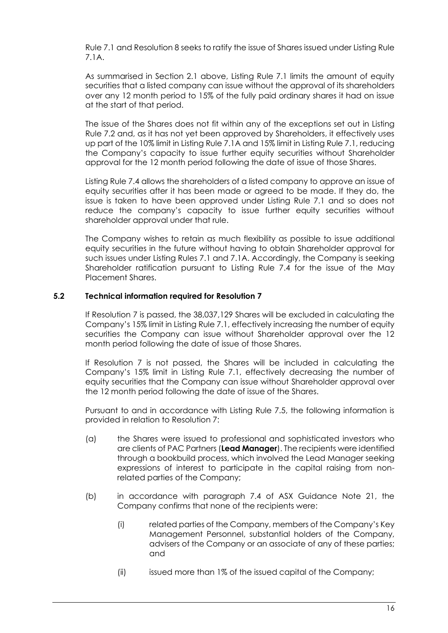Rule 7.1 and Resolution 8 seeks to ratify the issue of Shares issued under Listing Rule 7.1A.

As summarised in Section 2.1 above, Listing Rule 7.1 limits the amount of equity securities that a listed company can issue without the approval of its shareholders over any 12 month period to 15% of the fully paid ordinary shares it had on issue at the start of that period.

The issue of the Shares does not fit within any of the exceptions set out in Listing Rule 7.2 and, as it has not yet been approved by Shareholders, it effectively uses up part of the 10% limit in Listing Rule 7.1A and 15% limit in Listing Rule 7.1, reducing the Company's capacity to issue further equity securities without Shareholder approval for the 12 month period following the date of issue of those Shares.

Listing Rule 7.4 allows the shareholders of a listed company to approve an issue of equity securities after it has been made or agreed to be made. If they do, the issue is taken to have been approved under Listing Rule 7.1 and so does not reduce the company's capacity to issue further equity securities without shareholder approval under that rule.

The Company wishes to retain as much flexibility as possible to issue additional equity securities in the future without having to obtain Shareholder approval for such issues under Listing Rules 7.1 and 7.1A. Accordingly, the Company is seeking Shareholder ratification pursuant to Listing Rule 7.4 for the issue of the May Placement Shares.

## **5.2 Technical information required for Resolution 7**

If Resolution 7 is passed, the 38,037,129 Shares will be excluded in calculating the Company's 15% limit in Listing Rule 7.1, effectively increasing the number of equity securities the Company can issue without Shareholder approval over the 12 month period following the date of issue of those Shares.

If Resolution 7 is not passed, the Shares will be included in calculating the Company's 15% limit in Listing Rule 7.1, effectively decreasing the number of equity securities that the Company can issue without Shareholder approval over the 12 month period following the date of issue of the Shares.

Pursuant to and in accordance with Listing Rule 7.5, the following information is provided in relation to Resolution 7:

- (a) the Shares were issued to professional and sophisticated investors who are clients of PAC Partners (**Lead Manager**). The recipients were identified through a bookbuild process, which involved the Lead Manager seeking expressions of interest to participate in the capital raising from nonrelated parties of the Company;
- (b) in accordance with paragraph 7.4 of ASX Guidance Note 21, the Company confirms that none of the recipients were:
	- (i) related parties of the Company, members of the Company's Key Management Personnel, substantial holders of the Company, advisers of the Company or an associate of any of these parties; and
	- (ii) issued more than 1% of the issued capital of the Company;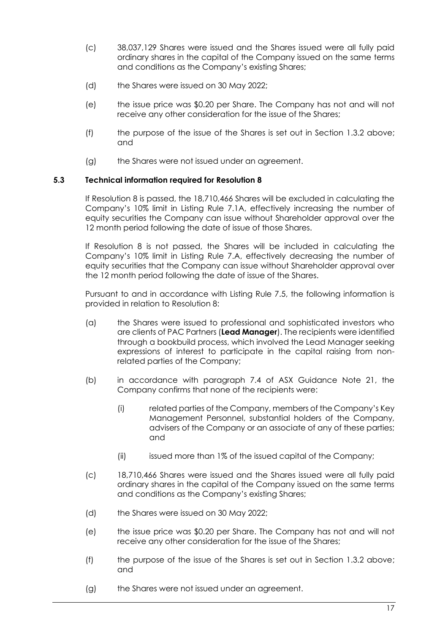- (c) 38,037,129 Shares were issued and the Shares issued were all fully paid ordinary shares in the capital of the Company issued on the same terms and conditions as the Company's existing Shares;
- (d) the Shares were issued on 30 May 2022;
- (e) the issue price was \$0.20 per Share. The Company has not and will not receive any other consideration for the issue of the Shares;
- (f) the purpose of the issue of the Shares is set out in Section 1.3.2 above; and
- (g) the Shares were not issued under an agreement.

## **5.3 Technical information required for Resolution 8**

If Resolution 8 is passed, the 18,710,466 Shares will be excluded in calculating the Company's 10% limit in Listing Rule 7.1A, effectively increasing the number of equity securities the Company can issue without Shareholder approval over the 12 month period following the date of issue of those Shares.

If Resolution 8 is not passed, the Shares will be included in calculating the Company's 10% limit in Listing Rule 7.A, effectively decreasing the number of equity securities that the Company can issue without Shareholder approval over the 12 month period following the date of issue of the Shares.

Pursuant to and in accordance with Listing Rule 7.5, the following information is provided in relation to Resolution 8:

- (a) the Shares were issued to professional and sophisticated investors who are clients of PAC Partners (**Lead Manager**). The recipients were identified through a bookbuild process, which involved the Lead Manager seeking expressions of interest to participate in the capital raising from nonrelated parties of the Company;
- (b) in accordance with paragraph 7.4 of ASX Guidance Note 21, the Company confirms that none of the recipients were:
	- (i) related parties of the Company, members of the Company's Key Management Personnel, substantial holders of the Company, advisers of the Company or an associate of any of these parties; and
	- (ii) issued more than 1% of the issued capital of the Company;
- (c) 18,710,466 Shares were issued and the Shares issued were all fully paid ordinary shares in the capital of the Company issued on the same terms and conditions as the Company's existing Shares;
- (d) the Shares were issued on 30 May 2022;
- (e) the issue price was \$0.20 per Share. The Company has not and will not receive any other consideration for the issue of the Shares;
- (f) the purpose of the issue of the Shares is set out in Section 1.3.2 above; and
- (g) the Shares were not issued under an agreement.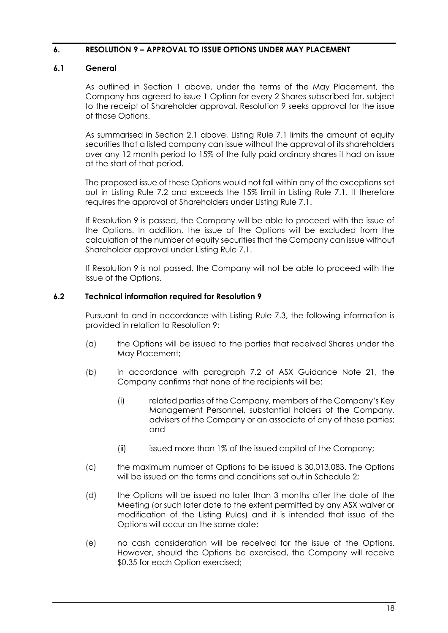## **6. RESOLUTION 9 – APPROVAL TO ISSUE OPTIONS UNDER MAY PLACEMENT**

## **6.1 General**

As outlined in Section 1 above, under the terms of the May Placement, the Company has agreed to issue 1 Option for every 2 Shares subscribed for, subject to the receipt of Shareholder approval. Resolution 9 seeks approval for the issue of those Options.

As summarised in Section 2.1 above, Listing Rule 7.1 limits the amount of equity securities that a listed company can issue without the approval of its shareholders over any 12 month period to 15% of the fully paid ordinary shares it had on issue at the start of that period.

The proposed issue of these Options would not fall within any of the exceptions set out in Listing Rule 7.2 and exceeds the 15% limit in Listing Rule 7.1. It therefore requires the approval of Shareholders under Listing Rule 7.1.

If Resolution 9 is passed, the Company will be able to proceed with the issue of the Options. In addition, the issue of the Options will be excluded from the calculation of the number of equity securities that the Company can issue without Shareholder approval under Listing Rule 7.1.

If Resolution 9 is not passed, the Company will not be able to proceed with the issue of the Options.

## **6.2 Technical information required for Resolution 9**

Pursuant to and in accordance with Listing Rule 7.3, the following information is provided in relation to Resolution 9:

- (a) the Options will be issued to the parties that received Shares under the May Placement;
- (b) in accordance with paragraph 7.2 of ASX Guidance Note 21, the Company confirms that none of the recipients will be:
	- (i) related parties of the Company, members of the Company's Key Management Personnel, substantial holders of the Company, advisers of the Company or an associate of any of these parties; and
	- (ii) issued more than 1% of the issued capital of the Company;
- (c) the maximum number of Options to be issued is 30,013,083. The Options will be issued on the terms and conditions set out in Schedule 2;
- (d) the Options will be issued no later than 3 months after the date of the Meeting (or such later date to the extent permitted by any ASX waiver or modification of the Listing Rules) and it is intended that issue of the Options will occur on the same date;
- (e) no cash consideration will be received for the issue of the Options. However, should the Options be exercised, the Company will receive \$0.35 for each Option exercised;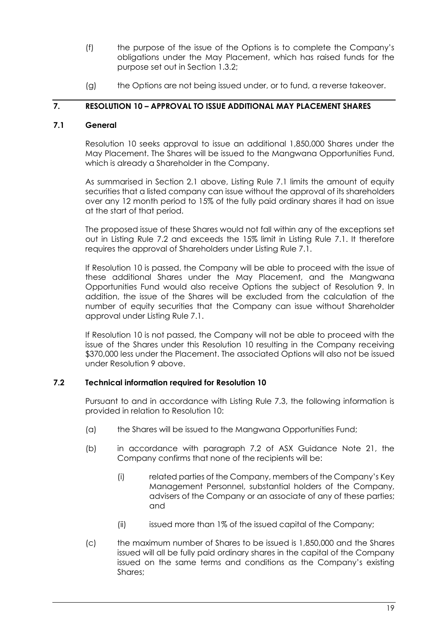- (f) the purpose of the issue of the Options is to complete the Company's obligations under the May Placement, which has raised funds for the purpose set out in Section 1.3.2;
- (g) the Options are not being issued under, or to fund, a reverse takeover.

## **7. RESOLUTION 10 – APPROVAL TO ISSUE ADDITIONAL MAY PLACEMENT SHARES**

## **7.1 General**

Resolution 10 seeks approval to issue an additional 1,850,000 Shares under the May Placement. The Shares will be issued to the Mangwana Opportunities Fund, which is already a Shareholder in the Company.

As summarised in Section 2.1 above, Listing Rule 7.1 limits the amount of equity securities that a listed company can issue without the approval of its shareholders over any 12 month period to 15% of the fully paid ordinary shares it had on issue at the start of that period.

The proposed issue of these Shares would not fall within any of the exceptions set out in Listing Rule 7.2 and exceeds the 15% limit in Listing Rule 7.1. It therefore requires the approval of Shareholders under Listing Rule 7.1.

If Resolution 10 is passed, the Company will be able to proceed with the issue of these additional Shares under the May Placement, and the Mangwana Opportunities Fund would also receive Options the subject of Resolution 9. In addition, the issue of the Shares will be excluded from the calculation of the number of equity securities that the Company can issue without Shareholder approval under Listing Rule 7.1.

If Resolution 10 is not passed, the Company will not be able to proceed with the issue of the Shares under this Resolution 10 resulting in the Company receiving \$370,000 less under the Placement. The associated Options will also not be issued under Resolution 9 above.

## **7.2 Technical information required for Resolution 10**

Pursuant to and in accordance with Listing Rule 7.3, the following information is provided in relation to Resolution 10:

- (a) the Shares will be issued to the Mangwana Opportunities Fund;
- (b) in accordance with paragraph 7.2 of ASX Guidance Note 21, the Company confirms that none of the recipients will be:
	- (i) related parties of the Company, members of the Company's Key Management Personnel, substantial holders of the Company, advisers of the Company or an associate of any of these parties; and
	- (ii) issued more than 1% of the issued capital of the Company;
- (c) the maximum number of Shares to be issued is 1,850,000 and the Shares issued will all be fully paid ordinary shares in the capital of the Company issued on the same terms and conditions as the Company's existing Shares;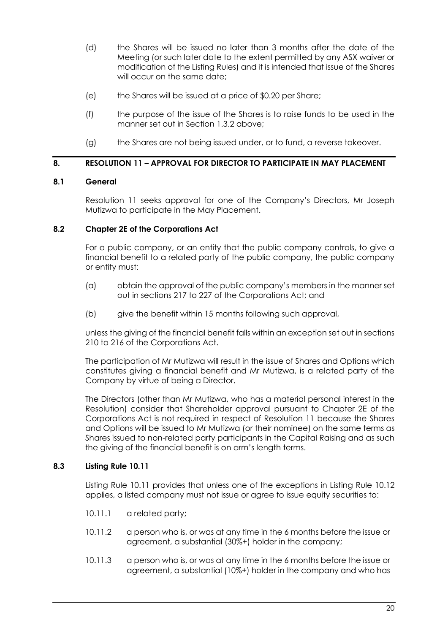- (d) the Shares will be issued no later than 3 months after the date of the Meeting (or such later date to the extent permitted by any ASX waiver or modification of the Listing Rules) and it is intended that issue of the Shares will occur on the same date;
- (e) the Shares will be issued at a price of \$0.20 per Share;
- (f) the purpose of the issue of the Shares is to raise funds to be used in the manner set out in Section 1.3.2 above;
- (g) the Shares are not being issued under, or to fund, a reverse takeover.

## **8. RESOLUTION 11 – APPROVAL FOR DIRECTOR TO PARTICIPATE IN MAY PLACEMENT**

## **8.1 General**

Resolution 11 seeks approval for one of the Company's Directors, Mr Joseph Mutizwa to participate in the May Placement.

## **8.2 Chapter 2E of the Corporations Act**

For a public company, or an entity that the public company controls, to give a financial benefit to a related party of the public company, the public company or entity must:

- (a) obtain the approval of the public company's members in the manner set out in sections 217 to 227 of the Corporations Act; and
- (b) give the benefit within 15 months following such approval,

unless the giving of the financial benefit falls within an exception set out in sections 210 to 216 of the Corporations Act.

The participation of Mr Mutizwa will result in the issue of Shares and Options which constitutes giving a financial benefit and Mr Mutizwa, is a related party of the Company by virtue of being a Director.

The Directors (other than Mr Mutizwa, who has a material personal interest in the Resolution) consider that Shareholder approval pursuant to Chapter 2E of the Corporations Act is not required in respect of Resolution 11 because the Shares and Options will be issued to Mr Mutizwa (or their nominee) on the same terms as Shares issued to non-related party participants in the Capital Raising and as such the giving of the financial benefit is on arm's length terms.

## **8.3 Listing Rule 10.11**

Listing Rule 10.11 provides that unless one of the exceptions in Listing Rule 10.12 applies, a listed company must not issue or agree to issue equity securities to:

- 10.11.1 a related party;
- 10.11.2 a person who is, or was at any time in the 6 months before the issue or agreement, a substantial (30%+) holder in the company;
- 10.11.3 a person who is, or was at any time in the 6 months before the issue or agreement, a substantial (10%+) holder in the company and who has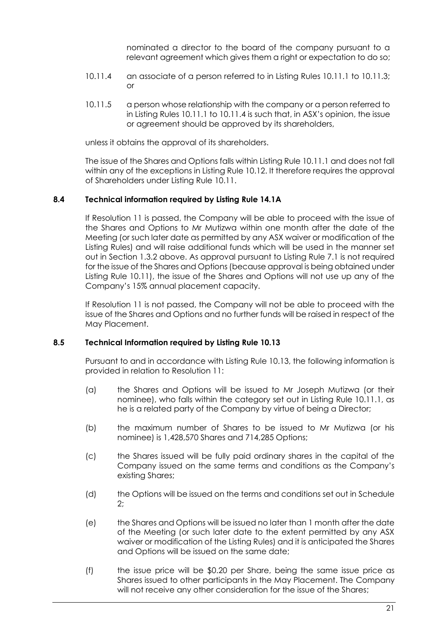nominated a director to the board of the company pursuant to a relevant agreement which gives them a right or expectation to do so;

- 10.11.4 an associate of a person referred to in Listing Rules 10.11.1 to 10.11.3; or
- 10.11.5 a person whose relationship with the company or a person referred to in Listing Rules 10.11.1 to 10.11.4 is such that, in ASX's opinion, the issue or agreement should be approved by its shareholders,

unless it obtains the approval of its shareholders.

The issue of the Shares and Options falls within Listing Rule 10.11.1 and does not fall within any of the exceptions in Listing Rule 10.12. It therefore requires the approval of Shareholders under Listing Rule 10.11.

## **8.4 Technical information required by Listing Rule 14.1A**

If Resolution 11 is passed, the Company will be able to proceed with the issue of the Shares and Options to Mr Mutizwa within one month after the date of the Meeting (or such later date as permitted by any ASX waiver or modification of the Listing Rules) and will raise additional funds which will be used in the manner set out in Section 1.3.2 above. As approval pursuant to Listing Rule 7.1 is not required for the issue of the Shares and Options (because approval is being obtained under Listing Rule 10.11), the issue of the Shares and Options will not use up any of the Company's 15% annual placement capacity.

If Resolution 11 is not passed, the Company will not be able to proceed with the issue of the Shares and Options and no further funds will be raised in respect of the May Placement.

## **8.5 Technical Information required by Listing Rule 10.13**

Pursuant to and in accordance with Listing Rule 10.13, the following information is provided in relation to Resolution 11:

- (a) the Shares and Options will be issued to Mr Joseph Mutizwa (or their nominee), who falls within the category set out in Listing Rule 10.11.1, as he is a related party of the Company by virtue of being a Director;
- (b) the maximum number of Shares to be issued to Mr Mutizwa (or his nominee) is 1,428,570 Shares and 714,285 Options;
- (c) the Shares issued will be fully paid ordinary shares in the capital of the Company issued on the same terms and conditions as the Company's existing Shares;
- (d) the Options will be issued on the terms and conditions set out in Schedule 2;
- (e) the Shares and Options will be issued no later than 1 month after the date of the Meeting (or such later date to the extent permitted by any ASX waiver or modification of the Listing Rules) and it is anticipated the Shares and Options will be issued on the same date;
- (f) the issue price will be \$0.20 per Share, being the same issue price as Shares issued to other participants in the May Placement. The Company will not receive any other consideration for the issue of the Shares;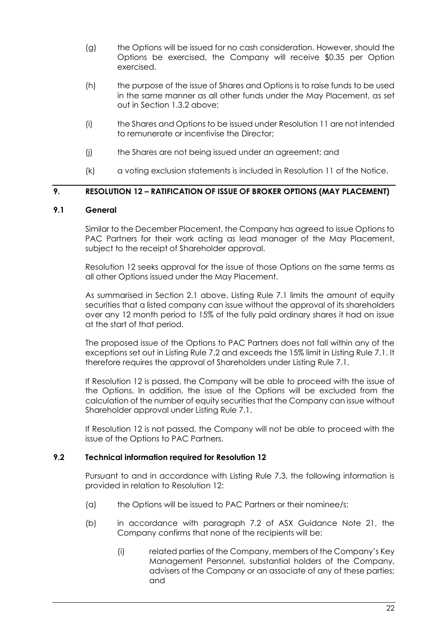- (g) the Options will be issued for no cash consideration. However, should the Options be exercised, the Company will receive \$0.35 per Option exercised.
- (h) the purpose of the issue of Shares and Options is to raise funds to be used in the same manner as all other funds under the May Placement, as set out in Section 1.3.2 above;
- (i) the Shares and Options to be issued under Resolution 11 are not intended to remunerate or incentivise the Director;
- (j) the Shares are not being issued under an agreement; and
- (k) a voting exclusion statements is included in Resolution 11 of the Notice.

## **9. RESOLUTION 12 – RATIFICATION OF ISSUE OF BROKER OPTIONS (MAY PLACEMENT)**

## **9.1 General**

Similar to the December Placement, the Company has agreed to issue Options to PAC Partners for their work acting as lead manager of the May Placement, subject to the receipt of Shareholder approval.

Resolution 12 seeks approval for the issue of those Options on the same terms as all other Options issued under the May Placement.

As summarised in Section 2.1 above, Listing Rule 7.1 limits the amount of equity securities that a listed company can issue without the approval of its shareholders over any 12 month period to 15% of the fully paid ordinary shares it had on issue at the start of that period.

The proposed issue of the Options to PAC Partners does not fall within any of the exceptions set out in Listing Rule 7.2 and exceeds the 15% limit in Listing Rule 7.1. It therefore requires the approval of Shareholders under Listing Rule 7.1.

If Resolution 12 is passed, the Company will be able to proceed with the issue of the Options. In addition, the issue of the Options will be excluded from the calculation of the number of equity securities that the Company can issue without Shareholder approval under Listing Rule 7.1.

If Resolution 12 is not passed, the Company will not be able to proceed with the issue of the Options to PAC Partners.

## **9.2 Technical information required for Resolution 12**

Pursuant to and in accordance with Listing Rule 7.3, the following information is provided in relation to Resolution 12:

- (a) the Options will be issued to PAC Partners or their nominee/s;
- (b) in accordance with paragraph 7.2 of ASX Guidance Note 21, the Company confirms that none of the recipients will be:
	- (i) related parties of the Company, members of the Company's Key Management Personnel, substantial holders of the Company, advisers of the Company or an associate of any of these parties; and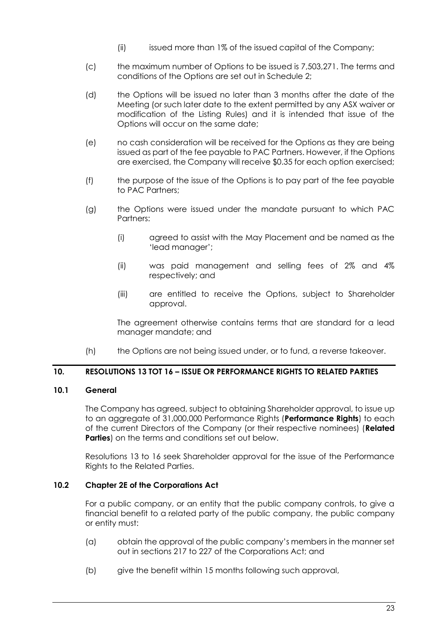- (ii) issued more than 1% of the issued capital of the Company;
- (c) the maximum number of Options to be issued is 7,503,271. The terms and conditions of the Options are set out in Schedule 2;
- (d) the Options will be issued no later than 3 months after the date of the Meeting (or such later date to the extent permitted by any ASX waiver or modification of the Listing Rules) and it is intended that issue of the Options will occur on the same date;
- (e) no cash consideration will be received for the Options as they are being issued as part of the fee payable to PAC Partners. However, if the Options are exercised, the Company will receive \$0.35 for each option exercised;
- (f) the purpose of the issue of the Options is to pay part of the fee payable to PAC Partners;
- (g) the Options were issued under the mandate pursuant to which PAC Partners:
	- (i) agreed to assist with the May Placement and be named as the 'lead manager';
	- (ii) was paid management and selling fees of 2% and 4% respectively; and
	- (iii) are entitled to receive the Options, subject to Shareholder approval.

The agreement otherwise contains terms that are standard for a lead manager mandate; and

(h) the Options are not being issued under, or to fund, a reverse takeover.

## **10. RESOLUTIONS 13 TOT 16 – ISSUE OR PERFORMANCE RIGHTS TO RELATED PARTIES**

## **10.1 General**

The Company has agreed, subject to obtaining Shareholder approval, to issue up to an aggregate of 31,000,000 Performance Rights (**Performance Rights**) to each of the current Directors of the Company (or their respective nominees) (**Related Parties**) on the terms and conditions set out below.

Resolutions 13 to 16 seek Shareholder approval for the issue of the Performance Rights to the Related Parties.

## **10.2 Chapter 2E of the Corporations Act**

For a public company, or an entity that the public company controls, to give a financial benefit to a related party of the public company, the public company or entity must:

- (a) obtain the approval of the public company's members in the manner set out in sections 217 to 227 of the Corporations Act; and
- (b) give the benefit within 15 months following such approval,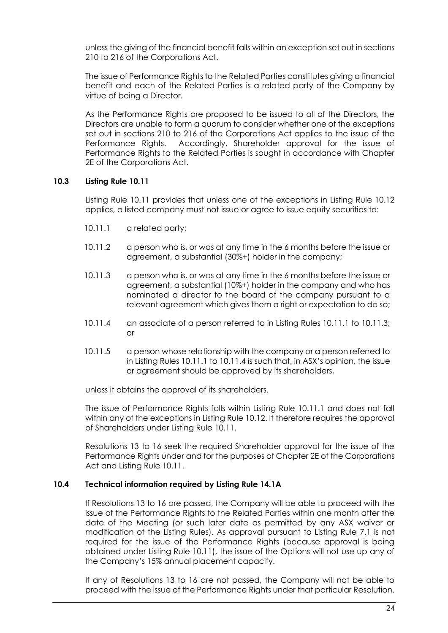unless the giving of the financial benefit falls within an exception set out in sections 210 to 216 of the Corporations Act.

The issue of Performance Rights to the Related Parties constitutes giving a financial benefit and each of the Related Parties is a related party of the Company by virtue of being a Director.

As the Performance Rights are proposed to be issued to all of the Directors, the Directors are unable to form a quorum to consider whether one of the exceptions set out in sections 210 to 216 of the Corporations Act applies to the issue of the Performance Rights. Accordingly, Shareholder approval for the issue of Performance Rights to the Related Parties is sought in accordance with Chapter 2E of the Corporations Act.

## **10.3 Listing Rule 10.11**

Listing Rule 10.11 provides that unless one of the exceptions in Listing Rule 10.12 applies, a listed company must not issue or agree to issue equity securities to:

- 10.11.1 a related party;
- 10.11.2 a person who is, or was at any time in the 6 months before the issue or agreement, a substantial (30%+) holder in the company;
- 10.11.3 a person who is, or was at any time in the 6 months before the issue or agreement, a substantial (10%+) holder in the company and who has nominated a director to the board of the company pursuant to a relevant agreement which gives them a right or expectation to do so;
- 10.11.4 an associate of a person referred to in Listing Rules 10.11.1 to 10.11.3; or
- 10.11.5 a person whose relationship with the company or a person referred to in Listing Rules 10.11.1 to 10.11.4 is such that, in ASX's opinion, the issue or agreement should be approved by its shareholders,

unless it obtains the approval of its shareholders.

The issue of Performance Rights falls within Listing Rule 10.11.1 and does not fall within any of the exceptions in Listing Rule 10.12. It therefore requires the approval of Shareholders under Listing Rule 10.11.

Resolutions 13 to 16 seek the required Shareholder approval for the issue of the Performance Rights under and for the purposes of Chapter 2E of the Corporations Act and Listing Rule 10.11.

## **10.4 Technical information required by Listing Rule 14.1A**

If Resolutions 13 to 16 are passed, the Company will be able to proceed with the issue of the Performance Rights to the Related Parties within one month after the date of the Meeting (or such later date as permitted by any ASX waiver or modification of the Listing Rules). As approval pursuant to Listing Rule 7.1 is not required for the issue of the Performance Rights (because approval is being obtained under Listing Rule 10.11), the issue of the Options will not use up any of the Company's 15% annual placement capacity.

If any of Resolutions 13 to 16 are not passed, the Company will not be able to proceed with the issue of the Performance Rights under that particular Resolution.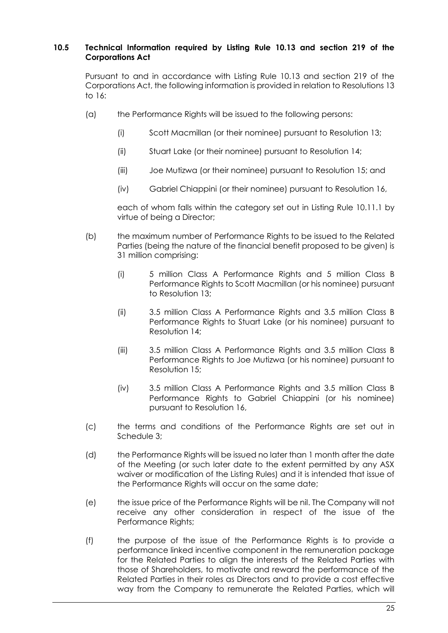## **10.5 Technical Information required by Listing Rule 10.13 and section 219 of the Corporations Act**

Pursuant to and in accordance with Listing Rule 10.13 and section 219 of the Corporations Act, the following information is provided in relation to Resolutions 13 to 16:

- (a) the Performance Rights will be issued to the following persons:
	- (i) Scott Macmillan (or their nominee) pursuant to Resolution 13;
	- (ii) Stuart Lake (or their nominee) pursuant to Resolution 14;
	- (iii) Joe Mutizwa (or their nominee) pursuant to Resolution 15; and
	- (iv) Gabriel Chiappini (or their nominee) pursuant to Resolution 16,

each of whom falls within the category set out in Listing Rule 10.11.1 by virtue of being a Director;

- (b) the maximum number of Performance Rights to be issued to the Related Parties (being the nature of the financial benefit proposed to be given) is 31 million comprising:
	- (i) 5 million Class A Performance Rights and 5 million Class B Performance Rights to Scott Macmillan (or his nominee) pursuant to Resolution 13;
	- (ii) 3.5 million Class A Performance Rights and 3.5 million Class B Performance Rights to Stuart Lake (or his nominee) pursuant to Resolution 14;
	- (iii) 3.5 million Class A Performance Rights and 3.5 million Class B Performance Rights to Joe Mutizwa (or his nominee) pursuant to Resolution 15;
	- (iv) 3.5 million Class A Performance Rights and 3.5 million Class B Performance Rights to Gabriel Chiappini (or his nominee) pursuant to Resolution 16,
- (c) the terms and conditions of the Performance Rights are set out in Schedule 3;
- (d) the Performance Rights will be issued no later than 1 month after the date of the Meeting (or such later date to the extent permitted by any ASX waiver or modification of the Listing Rules) and it is intended that issue of the Performance Rights will occur on the same date;
- (e) the issue price of the Performance Rights will be nil. The Company will not receive any other consideration in respect of the issue of the Performance Rights;
- (f) the purpose of the issue of the Performance Rights is to provide a performance linked incentive component in the remuneration package for the Related Parties to align the interests of the Related Parties with those of Shareholders, to motivate and reward the performance of the Related Parties in their roles as Directors and to provide a cost effective way from the Company to remunerate the Related Parties, which will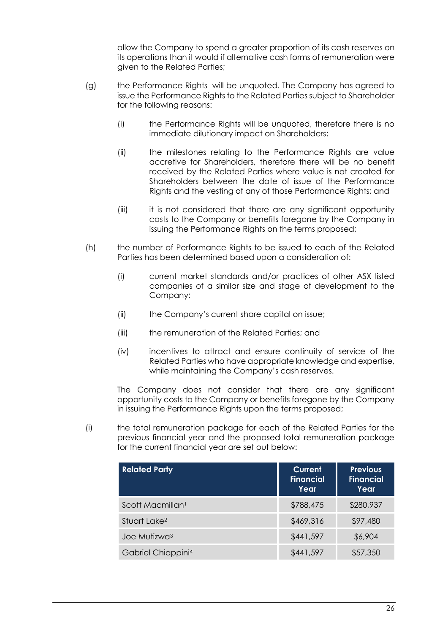allow the Company to spend a greater proportion of its cash reserves on its operations than it would if alternative cash forms of remuneration were given to the Related Parties;

- (g) the Performance Rights will be unquoted. The Company has agreed to issue the Performance Rights to the Related Parties subject to Shareholder for the following reasons:
	- (i) the Performance Rights will be unquoted, therefore there is no immediate dilutionary impact on Shareholders;
	- (ii) the milestones relating to the Performance Rights are value accretive for Shareholders, therefore there will be no benefit received by the Related Parties where value is not created for Shareholders between the date of issue of the Performance Rights and the vesting of any of those Performance Rights; and
	- (iii) it is not considered that there are any significant opportunity costs to the Company or benefits foregone by the Company in issuing the Performance Rights on the terms proposed;
- (h) the number of Performance Rights to be issued to each of the Related Parties has been determined based upon a consideration of:
	- (i) current market standards and/or practices of other ASX listed companies of a similar size and stage of development to the Company;
	- (ii) the Company's current share capital on issue;
	- (iii) the remuneration of the Related Parties; and
	- (iv) incentives to attract and ensure continuity of service of the Related Parties who have appropriate knowledge and expertise, while maintaining the Company's cash reserves.

The Company does not consider that there are any significant opportunity costs to the Company or benefits foregone by the Company in issuing the Performance Rights upon the terms proposed;

(i) the total remuneration package for each of the Related Parties for the previous financial year and the proposed total remuneration package for the current financial year are set out below:

| <b>Related Party</b>           | Current<br><b>Financial</b><br>Year | <b>Previous</b><br>Financial<br>Year |
|--------------------------------|-------------------------------------|--------------------------------------|
| Scott Macmillan <sup>1</sup>   | \$788,475                           | \$280,937                            |
| Stuart Lake <sup>2</sup>       | \$469,316                           | \$97,480                             |
| Joe Mutizwa <sup>3</sup>       | \$441,597                           | \$6,904                              |
| Gabriel Chiappini <sup>4</sup> | \$441,597                           | \$57,350                             |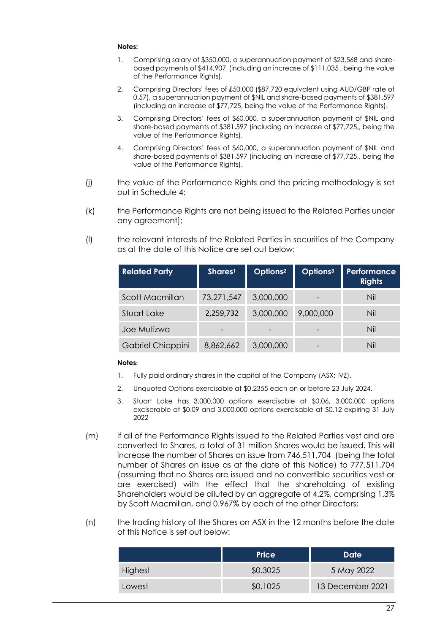#### **Notes:**

- 1. Comprising salary of \$350,000, a superannuation payment of \$23,568 and sharebased payments of \$414,907 (including an increase of \$111,035 , being the value of the Performance Rights).
- 2. Comprising Directors' fees of £50,000 (\$87,720 equivalent using AUD/GBP rate of 0.57), a superannuation payment of \$NIL and share-based payments of \$381,597 (including an increase of \$77,725, being the value of the Performance Rights).
- 3. Comprising Directors' fees of \$60,000, a superannuation payment of \$NIL and share-based payments of \$381,597 (including an increase of \$77,725,, being the value of the Performance Rights).
- 4. Comprising Directors' fees of \$60,000, a superannuation payment of \$NIL and share-based payments of \$381,597 (including an increase of \$77,725,, being the value of the Performance Rights).
- (j) the value of the Performance Rights and the pricing methodology is set out in Schedule 4;
- (k) the Performance Rights are not being issued to the Related Parties under any agreement];
- (l) the relevant interests of the Related Parties in securities of the Company as at the date of this Notice are set out below:

| <b>Related Party</b> | Shares <sup>1</sup> | Options <sup>2</sup> | Options <sup>3</sup> | Performance<br><b>Rights</b> |
|----------------------|---------------------|----------------------|----------------------|------------------------------|
| Scott Macmillan      | 73,271,547          | 3,000,000            |                      | Nil                          |
| Stuart Lake          | 2,259,732           | 3,000,000            | 9,000,000            | Nil                          |
| Joe Mutizwa          |                     | $\qquad \qquad$      |                      | Nil                          |
| Gabriel Chiappini    | 8,862,662           | 3,000,000            |                      | Nil                          |

#### **Notes:**

- 1. Fully paid ordinary shares in the capital of the Company (ASX: IVZ).
- 2. Unquoted Options exercisable at \$0.2355 each on or before 23 July 2024.
- 3. Stuart Lake has 3,000,000 options exercisable at \$0.06, 3,000,000 options exciserable at \$0.09 and 3,000,000 options exercisable at \$0.12 expiring 31 July 2022
- (m) if all of the Performance Rights issued to the Related Parties vest and are converted to Shares, a total of 31 million Shares would be issued. This will increase the number of Shares on issue from 746,511,704 (being the total number of Shares on issue as at the date of this Notice) to 777,511,704 (assuming that no Shares are issued and no convertible securities vest or are exercised) with the effect that the shareholding of existing Shareholders would be diluted by an aggregate of 4.2%, comprising 1.3% by Scott Macmillan, and 0.967% by each of the other Directors;
- (n) the trading history of the Shares on ASX in the 12 months before the date of this Notice is set out below:

|                | <b>Price</b> | <b>Date</b>      |
|----------------|--------------|------------------|
| <b>Highest</b> | \$0.3025     | 5 May 2022       |
| Lowest         | \$0.1025     | 13 December 2021 |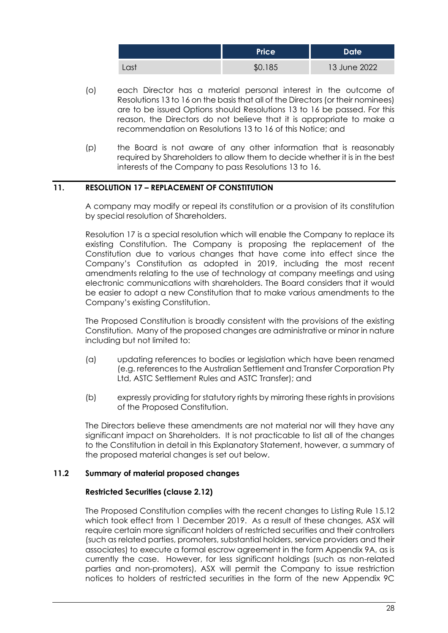|      | <b>Price</b> | Date <sup>'</sup> |
|------|--------------|-------------------|
| Last | \$0.185      | 13 June 2022      |

- (o) each Director has a material personal interest in the outcome of Resolutions 13 to 16 on the basis that all of the Directors (or their nominees) are to be issued Options should Resolutions 13 to 16 be passed. For this reason, the Directors do not believe that it is appropriate to make a recommendation on Resolutions 13 to 16 of this Notice; and
- (p) the Board is not aware of any other information that is reasonably required by Shareholders to allow them to decide whether it is in the best interests of the Company to pass Resolutions 13 to 16.

## **11. RESOLUTION 17 – REPLACEMENT OF CONSTITUTION**

A company may modify or repeal its constitution or a provision of its constitution by special resolution of Shareholders.

Resolution 17 is a special resolution which will enable the Company to replace its existing Constitution. The Company is proposing the replacement of the Constitution due to various changes that have come into effect since the Company's Constitution as adopted in 2019, including the most recent amendments relating to the use of technology at company meetings and using electronic communications with shareholders. The Board considers that it would be easier to adopt a new Constitution that to make various amendments to the Company's existing Constitution.

The Proposed Constitution is broadly consistent with the provisions of the existing Constitution. Many of the proposed changes are administrative or minor in nature including but not limited to:

- (a) updating references to bodies or legislation which have been renamed (e.g. references to the Australian Settlement and Transfer Corporation Pty Ltd, ASTC Settlement Rules and ASTC Transfer); and
- (b) expressly providing for statutory rights by mirroring these rights in provisions of the Proposed Constitution.

The Directors believe these amendments are not material nor will they have any significant impact on Shareholders. It is not practicable to list all of the changes to the Constitution in detail in this Explanatory Statement, however, a summary of the proposed material changes is set out below.

## **11.2 Summary of material proposed changes**

## **Restricted Securities (clause 2.12)**

The Proposed Constitution complies with the recent changes to Listing Rule 15.12 which took effect from 1 December 2019. As a result of these changes, ASX will require certain more significant holders of restricted securities and their controllers (such as related parties, promoters, substantial holders, service providers and their associates) to execute a formal escrow agreement in the form Appendix 9A, as is currently the case. However, for less significant holdings (such as non-related parties and non-promoters), ASX will permit the Company to issue restriction notices to holders of restricted securities in the form of the new Appendix 9C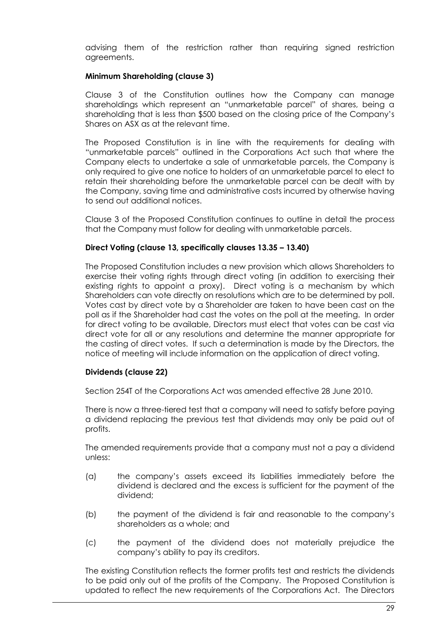advising them of the restriction rather than requiring signed restriction agreements.

## **Minimum Shareholding (clause 3)**

Clause 3 of the Constitution outlines how the Company can manage shareholdings which represent an "unmarketable parcel" of shares, being a shareholding that is less than \$500 based on the closing price of the Company's Shares on ASX as at the relevant time.

The Proposed Constitution is in line with the requirements for dealing with "unmarketable parcels" outlined in the Corporations Act such that where the Company elects to undertake a sale of unmarketable parcels, the Company is only required to give one notice to holders of an unmarketable parcel to elect to retain their shareholding before the unmarketable parcel can be dealt with by the Company, saving time and administrative costs incurred by otherwise having to send out additional notices.

Clause 3 of the Proposed Constitution continues to outline in detail the process that the Company must follow for dealing with unmarketable parcels.

## **Direct Voting (clause 13, specifically clauses 13.35 – 13.40)**

The Proposed Constitution includes a new provision which allows Shareholders to exercise their voting rights through direct voting (in addition to exercising their existing rights to appoint a proxy). Direct voting is a mechanism by which Shareholders can vote directly on resolutions which are to be determined by poll. Votes cast by direct vote by a Shareholder are taken to have been cast on the poll as if the Shareholder had cast the votes on the poll at the meeting. In order for direct voting to be available, Directors must elect that votes can be cast via direct vote for all or any resolutions and determine the manner appropriate for the casting of direct votes. If such a determination is made by the Directors, the notice of meeting will include information on the application of direct voting.

## **Dividends (clause 22)**

Section 254T of the Corporations Act was amended effective 28 June 2010.

There is now a three-tiered test that a company will need to satisfy before paying a dividend replacing the previous test that dividends may only be paid out of profits.

The amended requirements provide that a company must not a pay a dividend unless:

- (a) the company's assets exceed its liabilities immediately before the dividend is declared and the excess is sufficient for the payment of the dividend;
- (b) the payment of the dividend is fair and reasonable to the company's shareholders as a whole; and
- (c) the payment of the dividend does not materially prejudice the company's ability to pay its creditors.

The existing Constitution reflects the former profits test and restricts the dividends to be paid only out of the profits of the Company. The Proposed Constitution is updated to reflect the new requirements of the Corporations Act. The Directors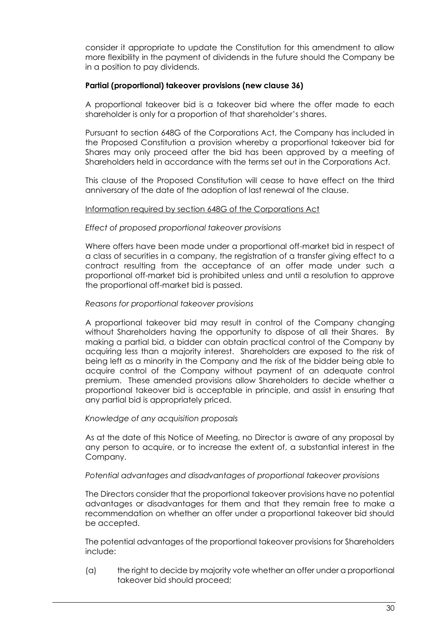consider it appropriate to update the Constitution for this amendment to allow more flexibility in the payment of dividends in the future should the Company be in a position to pay dividends.

## **Partial (proportional) takeover provisions (new clause 36)**

A proportional takeover bid is a takeover bid where the offer made to each shareholder is only for a proportion of that shareholder's shares.

Pursuant to section 648G of the Corporations Act, the Company has included in the Proposed Constitution a provision whereby a proportional takeover bid for Shares may only proceed after the bid has been approved by a meeting of Shareholders held in accordance with the terms set out in the Corporations Act.

This clause of the Proposed Constitution will cease to have effect on the third anniversary of the date of the adoption of last renewal of the clause.

#### Information required by section 648G of the Corporations Act

#### *Effect of proposed proportional takeover provisions*

Where offers have been made under a proportional off-market bid in respect of a class of securities in a company, the registration of a transfer giving effect to a contract resulting from the acceptance of an offer made under such a proportional off-market bid is prohibited unless and until a resolution to approve the proportional off-market bid is passed.

#### *Reasons for proportional takeover provisions*

A proportional takeover bid may result in control of the Company changing without Shareholders having the opportunity to dispose of all their Shares. By making a partial bid, a bidder can obtain practical control of the Company by acquiring less than a majority interest. Shareholders are exposed to the risk of being left as a minority in the Company and the risk of the bidder being able to acquire control of the Company without payment of an adequate control premium. These amended provisions allow Shareholders to decide whether a proportional takeover bid is acceptable in principle, and assist in ensuring that any partial bid is appropriately priced.

#### *Knowledge of any acquisition proposals*

As at the date of this Notice of Meeting, no Director is aware of any proposal by any person to acquire, or to increase the extent of, a substantial interest in the Company.

#### *Potential advantages and disadvantages of proportional takeover provisions*

The Directors consider that the proportional takeover provisions have no potential advantages or disadvantages for them and that they remain free to make a recommendation on whether an offer under a proportional takeover bid should be accepted.

The potential advantages of the proportional takeover provisions for Shareholders include:

(a) the right to decide by majority vote whether an offer under a proportional takeover bid should proceed;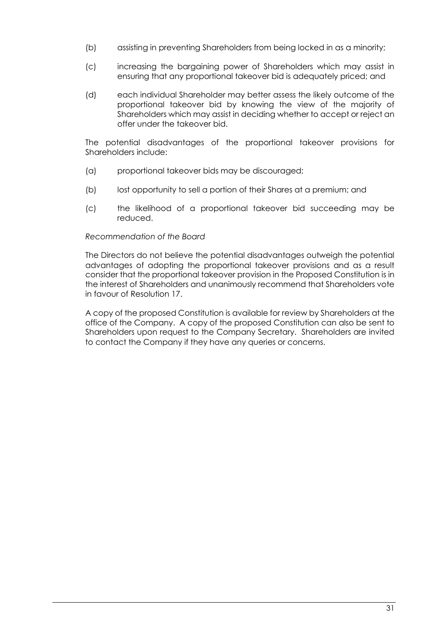- (b) assisting in preventing Shareholders from being locked in as a minority;
- (c) increasing the bargaining power of Shareholders which may assist in ensuring that any proportional takeover bid is adequately priced; and
- (d) each individual Shareholder may better assess the likely outcome of the proportional takeover bid by knowing the view of the majority of Shareholders which may assist in deciding whether to accept or reject an offer under the takeover bid.

The potential disadvantages of the proportional takeover provisions for Shareholders include:

- (a) proportional takeover bids may be discouraged;
- (b) lost opportunity to sell a portion of their Shares at a premium; and
- (c) the likelihood of a proportional takeover bid succeeding may be reduced.

#### *Recommendation of the Board*

The Directors do not believe the potential disadvantages outweigh the potential advantages of adopting the proportional takeover provisions and as a result consider that the proportional takeover provision in the Proposed Constitution is in the interest of Shareholders and unanimously recommend that Shareholders vote in favour of Resolution 17.

A copy of the proposed Constitution is available for review by Shareholders at the office of the Company. A copy of the proposed Constitution can also be sent to Shareholders upon request to the Company Secretary. Shareholders are invited to contact the Company if they have any queries or concerns.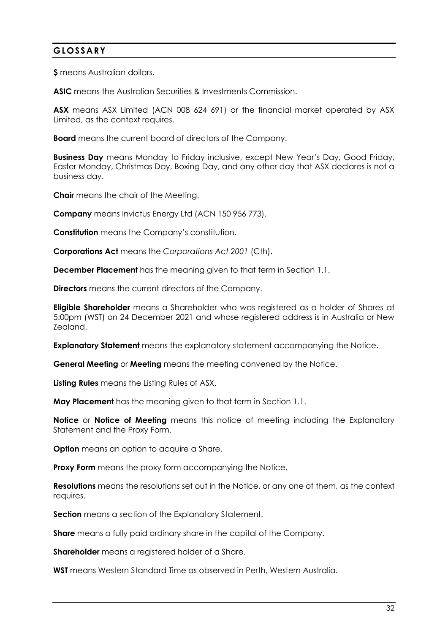# **GLOSSARY**

**\$** means Australian dollars.

**ASIC** means the Australian Securities & Investments Commission.

**ASX** means ASX Limited (ACN 008 624 691) or the financial market operated by ASX Limited, as the context requires.

**Board** means the current board of directors of the Company.

**Business Day** means Monday to Friday inclusive, except New Year's Day, Good Friday, Easter Monday, Christmas Day, Boxing Day, and any other day that ASX declares is not a business day.

**Chair** means the chair of the Meeting.

**Company** means Invictus Energy Ltd (ACN 150 956 773).

**Constitution** means the Company's constitution.

**Corporations Act** means the *Corporations Act 2001* (Cth).

**December Placement** has the meaning given to that term in Section 1.1.

**Directors** means the current directors of the Company.

**Eligible Shareholder** means a Shareholder who was registered as a holder of Shares at 5:00pm (WST) on 24 December 2021 and whose registered address is in Australia or New Zealand.

**Explanatory Statement** means the explanatory statement accompanying the Notice.

**General Meeting** or **Meeting** means the meeting convened by the Notice.

**Listing Rules** means the Listing Rules of ASX.

**May Placement** has the meaning given to that term in Section 1.1.

**Notice** or **Notice of Meeting** means this notice of meeting including the Explanatory Statement and the Proxy Form.

**Option** means an option to acquire a Share.

**Proxy Form** means the proxy form accompanying the Notice.

**Resolutions** means the resolutions set out in the Notice, or any one of them, as the context requires.

**Section** means a section of the Explanatory Statement.

**Share** means a fully paid ordinary share in the capital of the Company.

**Shareholder** means a registered holder of a Share.

**WST** means Western Standard Time as observed in Perth, Western Australia.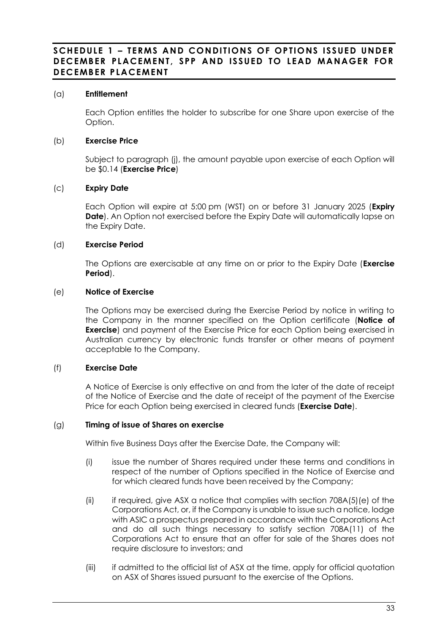## **SCHEDULE 1 – TERMS AND CONDITIONS OF OPTIONS ISSUED UNDER DECEMBER PLACEMENT, SPP AND ISSUED TO LEAD MANAGER FOR DECEMBER PLACEMENT**

## (a) **Entitlement**

Each Option entitles the holder to subscribe for one Share upon exercise of the Option.

## (b) **Exercise Price**

Subject to paragraph [\(j\),](#page-34-0) the amount payable upon exercise of each Option will be \$0.14 (**Exercise Price**)

## (c) **Expiry Date**

Each Option will expire at 5:00 pm (WST) on or before 31 January 2025 (**Expiry Date**). An Option not exercised before the Expiry Date will automatically lapse on the Expiry Date.

## (d) **Exercise Period**

The Options are exercisable at any time on or prior to the Expiry Date (**Exercise Period**).

## (e) **Notice of Exercise**

The Options may be exercised during the Exercise Period by notice in writing to the Company in the manner specified on the Option certificate (**Notice of Exercise**) and payment of the Exercise Price for each Option being exercised in Australian currency by electronic funds transfer or other means of payment acceptable to the Company.

## (f) **Exercise Date**

A Notice of Exercise is only effective on and from the later of the date of receipt of the Notice of Exercise and the date of receipt of the payment of the Exercise Price for each Option being exercised in cleared funds (**Exercise Date**).

## <span id="page-33-0"></span>(g) **Timing of issue of Shares on exercise**

Within five Business Days after the Exercise Date, the Company will:

- (i) issue the number of Shares required under these terms and conditions in respect of the number of Options specified in the Notice of Exercise and for which cleared funds have been received by the Company;
- <span id="page-33-1"></span>(ii) if required, give ASX a notice that complies with section 708A(5)(e) of the Corporations Act, or, if the Company is unable to issue such a notice, lodge with ASIC a prospectus prepared in accordance with the Corporations Act and do all such things necessary to satisfy section 708A(11) of the Corporations Act to ensure that an offer for sale of the Shares does not require disclosure to investors; and
- (iii) if admitted to the official list of ASX at the time, apply for official quotation on ASX of Shares issued pursuant to the exercise of the Options.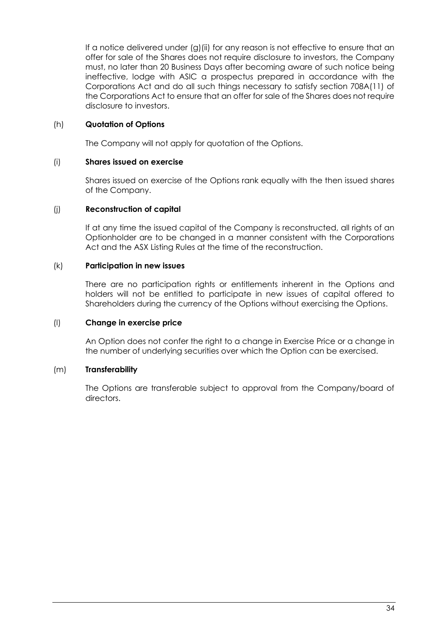If a notice delivered under [\(g\)](#page-33-0)[\(ii\)](#page-33-1) for any reason is not effective to ensure that an offer for sale of the Shares does not require disclosure to investors, the Company must, no later than 20 Business Days after becoming aware of such notice being ineffective, lodge with ASIC a prospectus prepared in accordance with the Corporations Act and do all such things necessary to satisfy section 708A(11) of the Corporations Act to ensure that an offer for sale of the Shares does not require disclosure to investors.

## (h) **Quotation of Options**

The Company will not apply for quotation of the Options.

## (i) **Shares issued on exercise**

Shares issued on exercise of the Options rank equally with the then issued shares of the Company.

## <span id="page-34-0"></span>(j) **Reconstruction of capital**

If at any time the issued capital of the Company is reconstructed, all rights of an Optionholder are to be changed in a manner consistent with the Corporations Act and the ASX Listing Rules at the time of the reconstruction.

## (k) **Participation in new issues**

There are no participation rights or entitlements inherent in the Options and holders will not be entitled to participate in new issues of capital offered to Shareholders during the currency of the Options without exercising the Options.

## (l) **Change in exercise price**

An Option does not confer the right to a change in Exercise Price or a change in the number of underlying securities over which the Option can be exercised.

## (m) **Transferability**

The Options are transferable subject to approval from the Company/board of directors.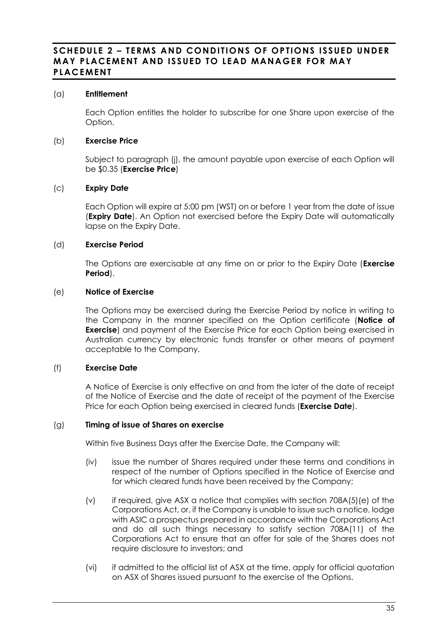## **SCHEDULE 2 – TERMS AND CONDITIONS OF OPTIONS ISSUED UNDER MAY PLACEMENT AND ISSUED TO LEAD MANAGER FOR MAY PLACEMENT**

## (a) **Entitlement**

Each Option entitles the holder to subscribe for one Share upon exercise of the Option.

## (b) **Exercise Price**

Subject to paragraph [\(j\),](#page-34-0) the amount payable upon exercise of each Option will be \$0.35 (**Exercise Price**)

## (c) **Expiry Date**

Each Option will expire at 5:00 pm (WST) on or before 1 year from the date of issue (**Expiry Date**). An Option not exercised before the Expiry Date will automatically lapse on the Expiry Date.

## (d) **Exercise Period**

The Options are exercisable at any time on or prior to the Expiry Date (**Exercise Period**).

## (e) **Notice of Exercise**

The Options may be exercised during the Exercise Period by notice in writing to the Company in the manner specified on the Option certificate (**Notice of Exercise**) and payment of the Exercise Price for each Option being exercised in Australian currency by electronic funds transfer or other means of payment acceptable to the Company.

## (f) **Exercise Date**

A Notice of Exercise is only effective on and from the later of the date of receipt of the Notice of Exercise and the date of receipt of the payment of the Exercise Price for each Option being exercised in cleared funds (**Exercise Date**).

## (g) **Timing of issue of Shares on exercise**

Within five Business Days after the Exercise Date, the Company will:

- (iv) issue the number of Shares required under these terms and conditions in respect of the number of Options specified in the Notice of Exercise and for which cleared funds have been received by the Company;
- (v) if required, give ASX a notice that complies with section 708A(5)(e) of the Corporations Act, or, if the Company is unable to issue such a notice, lodge with ASIC a prospectus prepared in accordance with the Corporations Act and do all such things necessary to satisfy section 708A(11) of the Corporations Act to ensure that an offer for sale of the Shares does not require disclosure to investors; and
- (vi) if admitted to the official list of ASX at the time, apply for official quotation on ASX of Shares issued pursuant to the exercise of the Options.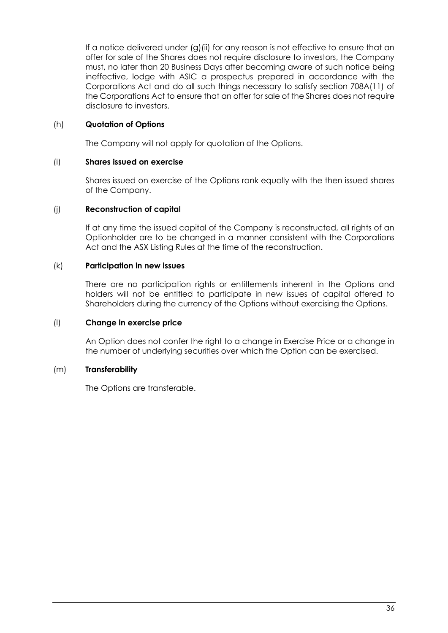If a notice delivered under [\(g\)](#page-33-0)[\(ii\)](#page-33-1) for any reason is not effective to ensure that an offer for sale of the Shares does not require disclosure to investors, the Company must, no later than 20 Business Days after becoming aware of such notice being ineffective, lodge with ASIC a prospectus prepared in accordance with the Corporations Act and do all such things necessary to satisfy section 708A(11) of the Corporations Act to ensure that an offer for sale of the Shares does not require disclosure to investors.

## (h) **Quotation of Options**

The Company will not apply for quotation of the Options.

## (i) **Shares issued on exercise**

Shares issued on exercise of the Options rank equally with the then issued shares of the Company.

## (j) **Reconstruction of capital**

If at any time the issued capital of the Company is reconstructed, all rights of an Optionholder are to be changed in a manner consistent with the Corporations Act and the ASX Listing Rules at the time of the reconstruction.

## (k) **Participation in new issues**

There are no participation rights or entitlements inherent in the Options and holders will not be entitled to participate in new issues of capital offered to Shareholders during the currency of the Options without exercising the Options.

## (l) **Change in exercise price**

An Option does not confer the right to a change in Exercise Price or a change in the number of underlying securities over which the Option can be exercised.

## (m) **Transferability**

The Options are transferable.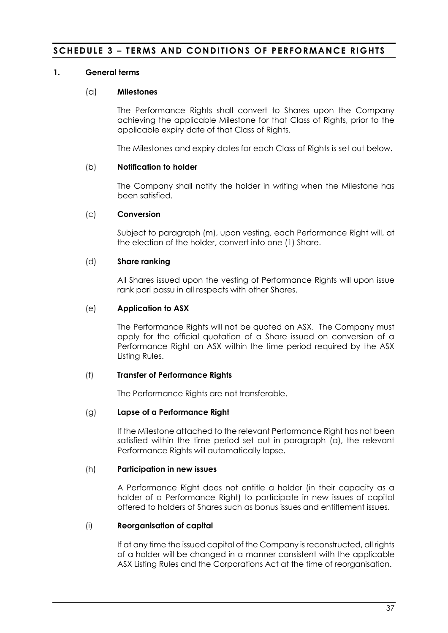# **SCHEDULE 3 – TERMS AND CONDITIONS OF PERFORMANCE RIGHTS**

## **1. General terms**

#### (a) **Milestones**

The Performance Rights shall convert to Shares upon the Company achieving the applicable Milestone for that Class of Rights, prior to the applicable expiry date of that Class of Rights.

The Milestones and expiry dates for each Class of Rights is set out below.

#### (b) **Notification to holder**

The Company shall notify the holder in writing when the Milestone has been satisfied.

#### <span id="page-37-0"></span>(c) **Conversion**

Subject to paragraph [\(m\),](#page-38-0) upon vesting, each Performance Right will, at the election of the holder, convert into one (1) Share.

#### (d) **Share ranking**

All Shares issued upon the vesting of Performance Rights will upon issue rank pari passu in all respects with other Shares.

## (e) **Application to ASX**

The Performance Rights will not be quoted on ASX. The Company must apply for the official quotation of a Share issued on conversion of a Performance Right on ASX within the time period required by the ASX Listing Rules.

## (f) **Transfer of Performance Rights**

The Performance Rights are not transferable.

#### (g) **Lapse of a Performance Right**

If the Milestone attached to the relevant Performance Right has not been satisfied within the time period set out in paragraph (a), the relevant Performance Rights will automatically lapse.

## (h) **Participation in new issues**

A Performance Right does not entitle a holder (in their capacity as a holder of a Performance Right) to participate in new issues of capital offered to holders of Shares such as bonus issues and entitlement issues.

## (i) **Reorganisation of capital**

If at any time the issued capital of the Company is reconstructed, all rights of a holder will be changed in a manner consistent with the applicable ASX Listing Rules and the Corporations Act at the time of reorganisation.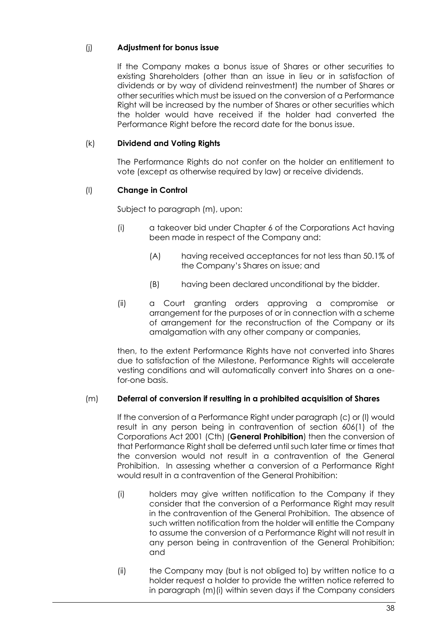# (j) **Adjustment for bonus issue**

If the Company makes a bonus issue of Shares or other securities to existing Shareholders (other than an issue in lieu or in satisfaction of dividends or by way of dividend reinvestment) the number of Shares or other securities which must be issued on the conversion of a Performance Right will be increased by the number of Shares or other securities which the holder would have received if the holder had converted the Performance Right before the record date for the bonus issue.

## (k) **Dividend and Voting Rights**

The Performance Rights do not confer on the holder an entitlement to vote (except as otherwise required by law) or receive dividends.

# <span id="page-38-1"></span>(l) **Change in Control**

Subject to paragraph [\(m\),](#page-38-0) upon:

- (i) a takeover bid under Chapter 6 of the Corporations Act having been made in respect of the Company and:
	- (A) having received acceptances for not less than 50.1% of the Company's Shares on issue; and
	- (B) having been declared unconditional by the bidder.
- (ii) a Court granting orders approving a compromise or arrangement for the purposes of or in connection with a scheme of arrangement for the reconstruction of the Company or its amalgamation with any other company or companies,

then, to the extent Performance Rights have not converted into Shares due to satisfaction of the Milestone, Performance Rights will accelerate vesting conditions and will automatically convert into Shares on a onefor-one basis.

## <span id="page-38-0"></span>(m) **Deferral of conversion if resulting in a prohibited acquisition of Shares**

If the conversion of a Performance Right under paragraph [\(c\)](#page-37-0) or [\(l\)](#page-38-1) would result in any person being in contravention of section 606(1) of the Corporations Act 2001 (Cth) (**General Prohibition**) then the conversion of that Performance Right shall be deferred until such later time or times that the conversion would not result in a contravention of the General Prohibition. In assessing whether a conversion of a Performance Right would result in a contravention of the General Prohibition:

- <span id="page-38-2"></span>(i) holders may give written notification to the Company if they consider that the conversion of a Performance Right may result in the contravention of the General Prohibition. The absence of such written notification from the holder will entitle the Company to assume the conversion of a Performance Right will not result in any person being in contravention of the General Prohibition; and
- (ii) the Company may (but is not obliged to) by written notice to a holder request a holder to provide the written notice referred to in paragraph [\(m\)](#page-38-0)[\(i\)](#page-38-2) within seven days if the Company considers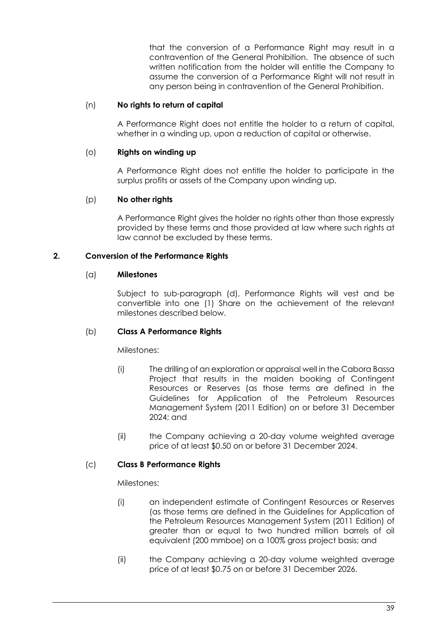that the conversion of a Performance Right may result in a contravention of the General Prohibition. The absence of such written notification from the holder will entitle the Company to assume the conversion of a Performance Right will not result in any person being in contravention of the General Prohibition.

## (n) **No rights to return of capital**

A Performance Right does not entitle the holder to a return of capital, whether in a winding up, upon a reduction of capital or otherwise.

## (o) **Rights on winding up**

A Performance Right does not entitle the holder to participate in the surplus profits or assets of the Company upon winding up.

## (p) **No other rights**

A Performance Right gives the holder no rights other than those expressly provided by these terms and those provided at law where such rights at law cannot be excluded by these terms.

## **2. Conversion of the Performance Rights**

## (a) **Milestones**

Subject to sub-paragraph (d), Performance Rights will vest and be convertible into one (1) Share on the achievement of the relevant milestones described below.

## (b) **Class A Performance Rights**

Milestones:

- (i) The drilling of an exploration or appraisal well in the Cabora Bassa Project that results in the maiden booking of Contingent Resources or Reserves (as those terms are defined in the Guidelines for Application of the Petroleum Resources Management System (2011 Edition) on or before 31 December 2024; and
- (ii) the Company achieving a 20-day volume weighted average price of at least \$0.50 on or before 31 December 2024.

## (c) **Class B Performance Rights**

Milestones:

- (i) an independent estimate of Contingent Resources or Reserves (as those terms are defined in the Guidelines for Application of the Petroleum Resources Management System (2011 Edition) of greater than or equal to two hundred million barrels of oil equivalent (200 mmboe) on a 100% gross project basis; and
- (ii) the Company achieving a 20-day volume weighted average price of at least \$0.75 on or before 31 December 2026.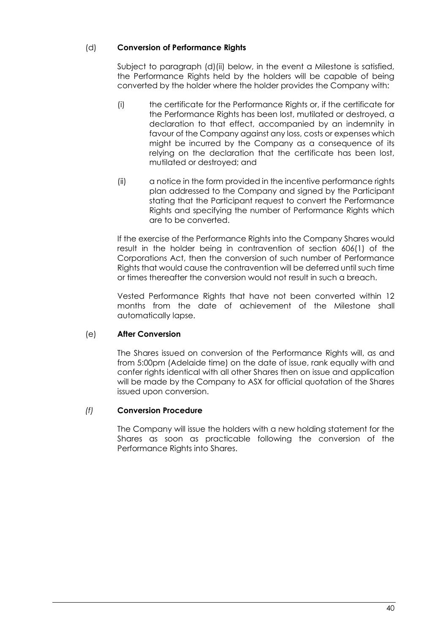# (d) **Conversion of Performance Rights**

Subject to paragraph (d)(ii) below, in the event a Milestone is satisfied, the Performance Rights held by the holders will be capable of being converted by the holder where the holder provides the Company with:

- (i) the certificate for the Performance Rights or, if the certificate for the Performance Rights has been lost, mutilated or destroyed, a declaration to that effect, accompanied by an indemnity in favour of the Company against any loss, costs or expenses which might be incurred by the Company as a consequence of its relying on the declaration that the certificate has been lost, mutilated or destroyed; and
- (ii) a notice in the form provided in the incentive performance rights plan addressed to the Company and signed by the Participant stating that the Participant request to convert the Performance Rights and specifying the number of Performance Rights which are to be converted.

If the exercise of the Performance Rights into the Company Shares would result in the holder being in contravention of section 606(1) of the Corporations Act, then the conversion of such number of Performance Rights that would cause the contravention will be deferred until such time or times thereafter the conversion would not result in such a breach.

Vested Performance Rights that have not been converted within 12 months from the date of achievement of the Milestone shall automatically lapse.

## (e) **After Conversion**

The Shares issued on conversion of the Performance Rights will, as and from 5:00pm (Adelaide time) on the date of issue, rank equally with and confer rights identical with all other Shares then on issue and application will be made by the Company to ASX for official quotation of the Shares issued upon conversion.

## *(f)* **Conversion Procedure**

The Company will issue the holders with a new holding statement for the Shares as soon as practicable following the conversion of the Performance Rights into Shares.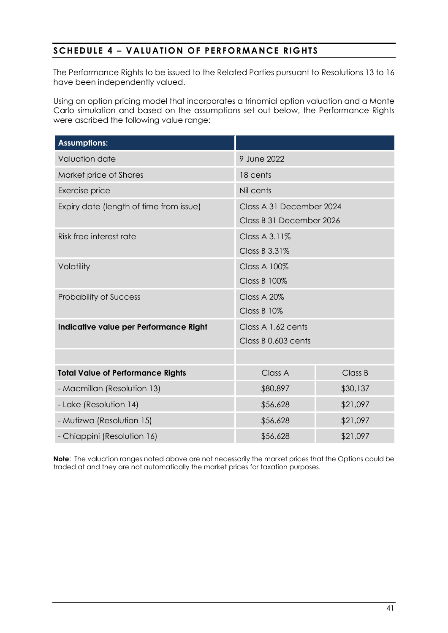# **SCHEDULE 4 – VALUATION OF PERFORMANCE RIGHTS**

The Performance Rights to be issued to the Related Parties pursuant to Resolutions 13 to 16 have been independently valued.

Using an option pricing model that incorporates a trinomial option valuation and a Monte Carlo simulation and based on the assumptions set out below, the Performance Rights were ascribed the following value range:

| <b>Assumptions:</b>                      |                          |          |  |
|------------------------------------------|--------------------------|----------|--|
| Valuation date                           | 9 June 2022              |          |  |
| Market price of Shares                   | 18 cents                 |          |  |
| Exercise price                           | Nil cents                |          |  |
| Expiry date (length of time from issue)  | Class A 31 December 2024 |          |  |
|                                          | Class B 31 December 2026 |          |  |
| Risk free interest rate                  | Class A 3.11%            |          |  |
|                                          | Class B 3.31%            |          |  |
| Volatility                               | <b>Class A 100%</b>      |          |  |
|                                          | <b>Class B 100%</b>      |          |  |
| <b>Probability of Success</b>            | Class A 20%              |          |  |
|                                          | Class B 10%              |          |  |
| Indicative value per Performance Right   | Class A 1.62 cents       |          |  |
|                                          | Class B 0.603 cents      |          |  |
|                                          |                          |          |  |
| <b>Total Value of Performance Rights</b> | Class A                  | Class B  |  |
| - Macmillan (Resolution 13)              | \$80,897                 | \$30,137 |  |
| - Lake (Resolution 14)                   | \$56,628                 | \$21,097 |  |
| - Mutizwa (Resolution 15)                | \$56,628                 | \$21,097 |  |
| - Chiappini (Resolution 16)              | \$56,628                 | \$21,097 |  |

**Note**: The valuation ranges noted above are not necessarily the market prices that the Options could be traded at and they are not automatically the market prices for taxation purposes.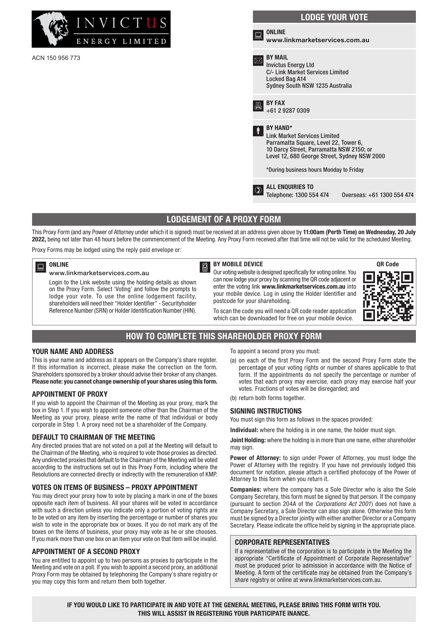

ACN 150 956 773

# LODGE YOUR VOTE ONLINE www.linkmarketservices.com.au BY MAIL Invictus Energy Ltd C/- Link Market Services Limited Locked Bag A14 Sydney South NSW 1235 Australia  $\overline{B}$  BY FAX<br>+61 2 9287 0309 BY HAND\* Link Market Services Limited Parramatta Square, Level 22, Tower 6, 10 Darcy Street, Parramatta NSW 2150; or Level 12, 680 George Street, Sydney NSW 2000 \*During business hours Monday to Friday **D** ALL ENQUIRIES TO<br>Telephone: 1300 554 474 Telephone: 1300 554 474 Overseas: +61 1300 554 474

# LODGEMENT OF A PROXY FORM

This Proxy Form (and any Power of Attorney under which it is signed) must be received at an address given above by 11:00am (Perth Time) on Wednesday, 20 July 2022, being not later than 48 hours before the commencement of the Meeting. Any Proxy Form received after that time will not be valid for the scheduled Meeting.

Proxy Forms may be lodged using the reply paid envelope or:

#### ONLINE

#### www.linkmarketservices.com.au

Login to the Link website using the holding details as shown on the Proxy Form. Select 'Voting' and follow the prompts to lodge your vote. To use the online lodgement facility, shareholders will need their "Holder Identifier" - Securityholder Reference Number (SRN) or Holder Identification Number (HIN).

BY MOBILE DEVICE

Our voting website is designed specifically for voting online. You can now lodge your proxy by scanning the QR code adjacent or enter the voting link www.linkmarketservices.com.au into your mobile device. Log in using the Holder Identifier and postcode for your shareholding.



To scan the code you will need a QR code reader application which can be downloaded for free on your mobile device.

## HOW TO COMPLETE THIS SHAREHOLDER PROXY FORM

#### YOUR NAME AND ADDRESS

This is your name and address as it appears on the Company's share register. If this information is incorrect, please make the correction on the form. Shareholders sponsored by a broker should advise their broker of any changes. Please note: you cannot change ownership of your shares using this form.

#### APPOINTMENT OF PROXY

If you wish to appoint the Chairman of the Meeting as your proxy, mark the box in Step 1. If you wish to appoint someone other than the Chairman of the Meeting as your proxy, please write the name of that individual or body corporate in Step 1. A proxy need not be a shareholder of the Company.

#### DEFAULT TO CHAIRMAN OF THE MEETING

Any directed proxies that are not voted on a poll at the Meeting will default to the Chairman of the Meeting, who is required to vote those proxies as directed. Any undirected proxies that default to the Chairman of the Meeting will be voted according to the instructions set out in this Proxy Form, including where the Resolutions are connected directly or indirectly with the remuneration of KMP.

#### VOTES ON ITEMS OF BUSINESS – PROXY APPOINTMENT

You may direct your proxy how to vote by placing a mark in one of the boxes opposite each item of business. All your shares will be voted in accordance with such a direction unless you indicate only a portion of voting rights are to be voted on any item by inserting the percentage or number of shares you wish to vote in the appropriate box or boxes. If you do not mark any of the boxes on the items of business, your proxy may vote as he or she chooses. If you mark more than one box on an item your vote on that item will be invalid.

#### APPOINTMENT OF A SECOND PROXY

You are entitled to appoint up to two persons as proxies to participate in the Meeting and vote on a poll. If you wish to appoint a second proxy, an additional Proxy Form may be obtained by telephoning the Company's share registry or you may copy this form and return them both together.

To appoint a second proxy you must:

- (a) on each of the first Proxy Form and the second Proxy Form state the percentage of your voting rights or number of shares applicable to that form. If the appointments do not specify the percentage or number of votes that each proxy may exercise, each proxy may exercise half your votes. Fractions of votes will be disregarded; and
- (b) return both forms together.

#### SIGNING INSTRUCTIONS

You must sign this form as follows in the spaces provided:

Individual: where the holding is in one name, the holder must sign.

Joint Holding: where the holding is in more than one name, either shareholder may sign.

Power of Attorney: to sign under Power of Attorney, you must lodge the Power of Attorney with the registry. If you have not previously lodged this document for notation, please attach a certified photocopy of the Power of Attorney to this form when you return it.

Companies: where the company has a Sole Director who is also the Sole Company Secretary, this form must be signed by that person. If the company (pursuant to section 204A of the *Corporations Act 2001*) does not have a Company Secretary, a Sole Director can also sign alone. Otherwise this form must be signed by a Director jointly with either another Director or a Company Secretary. Please indicate the office held by signing in the appropriate place.

#### CORPORATE REPRESENTATIVES

If a representative of the corporation is to participate in the Meeting the appropriate "Certificate of Appointment of Corporate Representative" must be produced prior to admission in accordance with the Notice of Meeting. A form of the certificate may be obtained from the Company's share registry or online at www.linkmarketservices.com.au.

IF YOU WOULD LIKE TO PARTICIPATE IN AND VOTE AT THE GENERAL MEETING, PLEASE BRING THIS FORM WITH YOU. THIS WILL ASSIST IN REGISTERING YOUR PARTICIPATE INANCE.